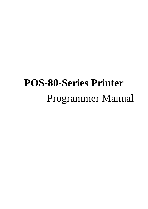# **POS-80-Series Printer** Programmer Manual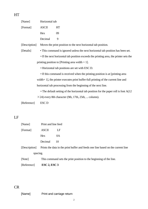| [Name]                                         | Horizontal tab   |                                                                                         |  |  |  |
|------------------------------------------------|------------------|-----------------------------------------------------------------------------------------|--|--|--|
| [Format]                                       | <b>ASCII</b>     | HT                                                                                      |  |  |  |
|                                                | Hex              | 09                                                                                      |  |  |  |
|                                                | Decimal          | 9                                                                                       |  |  |  |
| [Description]                                  |                  | Moves the print position to the next horizontal tab position.                           |  |  |  |
| [Details]                                      |                  | • This command is ignored unless the next horizontal tab position has been set.         |  |  |  |
|                                                |                  | • If the next horizontal tab position exceeds the printing area, the printer sets the   |  |  |  |
|                                                |                  | printing position to [Printing area width $+1$ ].                                       |  |  |  |
| • Horizontal tab positions are set with ESC D. |                  |                                                                                         |  |  |  |
|                                                |                  | • If this command is received when the printing position is at [printing area]          |  |  |  |
|                                                |                  | width + 1], the printer executes print buffer-full printing of the current line and     |  |  |  |
|                                                |                  | horizontal tab processing from the beginning of the next line.                          |  |  |  |
|                                                |                  | • The default setting of the horizontal tab position for the paper roll is font $A(12)$ |  |  |  |
|                                                |                  | $\times$ 24) every 8th character (9th, 17th, 25th,  column).                            |  |  |  |
| [Reference]                                    | ESC <sub>D</sub> |                                                                                         |  |  |  |
|                                                |                  |                                                                                         |  |  |  |
|                                                |                  |                                                                                         |  |  |  |

### LF

HT

| [Reference]   | $\text{ESC } 2$ , $\text{ESC } 3$                                                |                     |  |  |  |  |
|---------------|----------------------------------------------------------------------------------|---------------------|--|--|--|--|
| [Note]        | This command sets the print position to the beginning of the line.               |                     |  |  |  |  |
| spacing.      |                                                                                  |                     |  |  |  |  |
| [Description] | Prints the data in the print buffer and feeds one line based on the current line |                     |  |  |  |  |
|               | Decimal                                                                          | 10                  |  |  |  |  |
|               | <b>Hex</b>                                                                       | 0A                  |  |  |  |  |
| [Format]      | <b>ASCII</b>                                                                     | LF                  |  |  |  |  |
| [Name]        |                                                                                  | Print and line feed |  |  |  |  |

### CR

[Name] Print and carriage return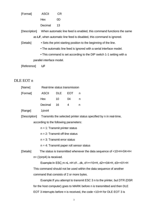| [Format]      | <b>ASCII</b>                                                         | CR                                                                    |  |  |
|---------------|----------------------------------------------------------------------|-----------------------------------------------------------------------|--|--|
|               | Hex                                                                  | 0D                                                                    |  |  |
|               | Decimal                                                              | 13                                                                    |  |  |
| [Description] | When automatic line feed is enabled, this command functions the same |                                                                       |  |  |
|               |                                                                      | as LF, when automatic line feed is disabled, this command is ignored. |  |  |
| [Details]     |                                                                      | • Sets the print starting position to the beginning of the line.      |  |  |
|               | • The automatic line feed is ignored with a serial interface model.  |                                                                       |  |  |
|               |                                                                      | • This command is set according to the DIP switch 1-1 setting with a  |  |  |
|               | parallel interface model.                                            |                                                                       |  |  |

[Reference] **LF**

### DLE EOT n

| [Name]   | Real-time status transmission |      |     |   |  |  |  |
|----------|-------------------------------|------|-----|---|--|--|--|
| [Format] | <b>ASCII</b>                  | DLE. | EOT | n |  |  |  |
|          | Hex                           | 10   | 04  | n |  |  |  |
|          | Decimal                       | 16   | 4   | n |  |  |  |
| [Range]  | 1≤n≤4                         |      |     |   |  |  |  |

[Description] Transmits the selected printer status specified by n in real-time,

according to the following parameters:

- n = 1: Transmit printer status
- $n = 2$ : Transmit off-line status
- $n = 3$ : Transmit error status
- $n = 4$ : Transmit paper roll sensor status

[Details] The status is transmitted whenever the data sequence of <10>H<04>H<

n> (1≤n≤4) is received.

Example:In ESC m nL nH d1...dk, d1=<10>H, d2=<04>H, d3=<01>H This command should not be used within the data sequence of another command that consists of 2 or more bytes.

Example:If you attempt to transmit ESC 3 n to the printer, but DTR (DSR for the host computer) goes to MARK before n is transmitted and then DLE EOT 3 interrupts before n is received, the code <10>H for DLE EOT 3 is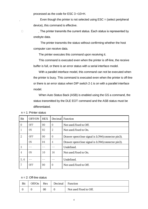processed as the code for ESC 3 <10>H.

Even though the printer is not selected using  $\text{ESC} =$  (select peripheral device), this command is effective.

□ The printer transmits the current status. Each status is represented by onebyte data.

> The printer transmits the status without confirming whether the host computer can receive data.

The printer executes this command upon receiving it.

This command is executed even when the printer is off-line, the receive buffer is full, or there is an error status with a serial interface model.

With a parallel interface model, this command can not be executed when the printer is busy. This command is executed even when the printer is off-line or there is an error status when DIP switch 2-1 is on with a parallel interface model.

When Auto Status Back (ASB) is enabled using the GS a command, the status transmitted by the DLE EOT command and the ASB status must be differentiated.

| Bit            | OFF/ON | <b>HEX</b>     | Decimal Function |                                                  |  |  |
|----------------|--------|----------------|------------------|--------------------------------------------------|--|--|
| $\Omega$       | 0FF    | 0 <sub>0</sub> | $\Omega$         | Not used. Fixed to Off.                          |  |  |
|                | ON     | 02             | $\overline{2}$   | Not used Fixed to On.                            |  |  |
| $\overline{2}$ | 0FF    | 0 <sub>0</sub> | $\theta$         | Drawer open/close signal is LOW(connector pin3). |  |  |
|                | 0N     | 04             | $\overline{4}$   | Drawer open/close signal is LOW(connector pin3). |  |  |
| 3              |        |                |                  | Undefined.                                       |  |  |
| 4              | ON     | 10             | 16               | Not used. Fixed to On.                           |  |  |
| 5.6            |        |                |                  | Undefined.                                       |  |  |
| 7              | 0FF    | 00             | $\theta$         | Not used. Fixed to Off.                          |  |  |

 $n = 1$ : Printer status

 $n = 2$ : Off-line status

| Off/On | Hex | Decimal Function |                        |
|--------|-----|------------------|------------------------|
|        | ОC  |                  | Not used Fixed to Off. |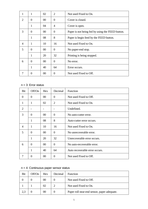| 1                     | 1            | 02     | $\overline{2}$ | Not used Fixed to On.                            |  |
|-----------------------|--------------|--------|----------------|--------------------------------------------------|--|
| $\mathcal{D}_{\cdot}$ | $\Omega$     | $00\,$ | $\Omega$       | Cover is closed.                                 |  |
|                       | 1            | 04     | 4              | Cover is open.                                   |  |
| 3                     | $\Omega$     | $00\,$ | $\overline{0}$ | Paper is not being fed by using the FEED button. |  |
|                       | 1            | 08     | 8              | Paper is begin feed by the FEED button.          |  |
| 4                     | 1            | 10     | 16             | Not used Fixed to On.                            |  |
| 5                     | $\Omega$     | $00\,$ | 0              | No paper-end stop.                               |  |
|                       | 1            | 20     | 32             | Printing is being stopped.                       |  |
| 6                     | $\Omega$     | $00\,$ | $\Omega$       | No error.                                        |  |
|                       | $\mathbf{1}$ | 40     | 64             | Error occurs.                                    |  |
|                       | 0            | 00     | 0              | Not used Fixed to Off.                           |  |

### n = 3: Error status

| Bit            | Off/On       | Hex            | Decimal  | Function                       |  |
|----------------|--------------|----------------|----------|--------------------------------|--|
| $\Omega$       | $\theta$     | $00\,$         | $\theta$ | Not used Fixed to Off.         |  |
| 1              | 1            | 02             | 2        | Not used Fixed to On.          |  |
| $\overline{2}$ |              | $\overline{a}$ |          | Undefined.                     |  |
| 3              | $\theta$     | 00             | $\Omega$ | No auto-cutter error.          |  |
|                | 1            | 08             | 8        | Auto-cutter error occurs.      |  |
| $\overline{4}$ | 1            | 10             | 16       | Not used Fixed to On.          |  |
| 5              | $\theta$     | $00\,$         | $\theta$ | No unrecoverable error.        |  |
|                | 1            | 20             | 32       | Unrecoverable error occurs.    |  |
| 6              | $\theta$     | $00\,$         | $\Omega$ | No auto-recoverable error.     |  |
|                | $\mathbf{1}$ | 40             | 64       | Auto recoverable error occurs. |  |
|                | 0            | $00\,$         | 0        | Not used Fixed to Off.         |  |

### $n = 4$ : Continuous paper sensor status

| Bit | Off/On | <b>Hex</b> | Decimal | <b>Function</b>                             |
|-----|--------|------------|---------|---------------------------------------------|
|     |        | 00         |         | Not used Fixed to Off.                      |
|     |        | 02         |         | Not used Fixed to On.                       |
| 2,3 |        | 00         |         | Paper roll near-end sensor, paper adequate. |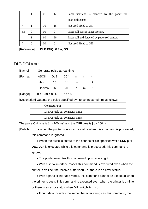|     |   | 0 <sup>C</sup> | 12       | Paper near-end is detected by the paper roll  |  |  |  |
|-----|---|----------------|----------|-----------------------------------------------|--|--|--|
|     |   |                |          | near-end sensor.                              |  |  |  |
|     |   | 10             | 16       | Not used Fixed to On.                         |  |  |  |
| 5,6 | 0 | 00             | $\theta$ | Paper roll sensor Paper present.              |  |  |  |
|     |   | 60             | 96       | Paper roll end detected by paper roll sensor. |  |  |  |
|     | 0 | 00             |          | Not used Fixed to Off.                        |  |  |  |

[Reference] **DLE ENQ, GS a, GS r**

#### DLE DC4 n m t

|                          | [Name] Generate pulse at real-time |  |             |     |   |   |  |  |
|--------------------------|------------------------------------|--|-------------|-----|---|---|--|--|
| [Format] ASCII DLE DC4 n |                                    |  |             |     | m |   |  |  |
|                          | Hex                                |  | 10 14 n m t |     |   |   |  |  |
|                          | Decimal 16                         |  | 20          | n n | m | t |  |  |
|                          |                                    |  |             |     |   |   |  |  |

 $[Ranqel \qquad n = 1, m = 0, 1, 1 \le t \le 8]$ 

[Description] Outputs the pulse specified by t to connector pin m as follows:

| Connector pin                    |
|----------------------------------|
| Drawer kick-out connector pin 2. |
| Drawer kick-out connector pin 5. |

The pulse ON time is  $\lceil t \times 100 \text{ ms} \rceil$  and the OFF time is  $\lceil t \times 100 \text{ ms} \rceil$ .

[Details] • When the printer is in an error status when this command is processed, this command is ignored.

• When the pulse is output to the connector pin specified while **ESC p** or

**DEL DC4** is executed while this command is processed, this command is ignored.

• The printer executes this command upon receiving it.

• With a serial interface model, this command is executed even when the printer is off-line, the receive buffer is full, or there is an error status.

• With a parallel interface model, this command cannot be executed when the printer is busy. This command is executed even when the printer is off-line or there is an error status when DIP switch 2-1 is on.

• If print data includes the same character strings as this command, the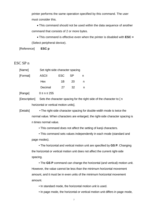printer performs the same operation specified by this command. The user must consider this.

• This command should not be used within the data sequence of another command that consists of 2 or more bytes.

• This command is effective even when the printer is disabled with **ESC =**  (Select peripheral device).

[Reference] **ESC p**

#### ESC SP n

| [Name]   |              | Set right-side character spacing |           |   |  |  |  |  |
|----------|--------------|----------------------------------|-----------|---|--|--|--|--|
| [Format] | <b>ASCII</b> | <b>ESC</b>                       | <b>SP</b> | n |  |  |  |  |
|          | Hex          | 1B                               | 20        | n |  |  |  |  |
|          | Decimal      | 27                               | 32        |   |  |  |  |  |
|          |              |                                  |           |   |  |  |  |  |

 $[Range]$   $0 \le n \le 255$ 

[Description] Sets the character spacing for the right side of the character to [ n horizontal or vertical motion units].

[Details] • The right-side character spacing for double-width mode is twice the normal value. When characters are enlarged, the right-side character spacing is n times normal value.

• This command does not affect the setting of kanji characters.

• This command sets values independently in each mode (standard and page modes).

• The horizontal and vertical motion unit are specified by **GS P**. Changing the horizontal or vertical motion unit does not affect the current right-side spacing.

• The **GS P** command can change the horizontal (and vertical) motion unit. However, the value cannot be less than the minimum horizontal movement amount, and it must be in even units of the minimum horizontal movement amount.

• In standard mode, the horizontal motion unit is used.

• In page mode, the horizontal or vertical motion unit differs in page mode,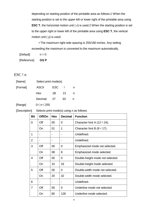depending on starting position of the printable area as follows:1 When the starting position is set to the upper left or lower right of the printable area using **ESC T**, the horizontal motion unit (x) is used.2 When the starting position is set to the upper right or lower left of the printable area using **ESC T**, the vertical motion unit ( y) is used.

• The maximum right-side spacing is 255/180 inches. Any setting exceeding the maximum is converted to the maximum automatically.

 $[Default]$   $n = 0$ 

[Reference] **GS P**

### ESC ! n

| [Name]   |              | Select print mode(s) |     |  |  |  |  |
|----------|--------------|----------------------|-----|--|--|--|--|
| [Format] | <b>ASCII</b> | ESC                  |     |  |  |  |  |
|          | Hex          | 1B                   | -21 |  |  |  |  |
|          | Decimal      | -27                  | 33  |  |  |  |  |

[Range] 0≤n≤255

| [Description] | Selects print mode(s) using n as follows: |  |
|---------------|-------------------------------------------|--|
|---------------|-------------------------------------------|--|

| <b>Bit</b>     | Off/On    | <b>Hex</b> | <b>Decimal</b> | <b>Function</b>                     |
|----------------|-----------|------------|----------------|-------------------------------------|
| 0              | Off       | 00         | 0              | Character font A $(12 \times 24)$ . |
|                | On        | 01         | 1              | Character font B $(9 \times 17)$ .  |
| 1              |           |            |                | Undefined.                          |
| $\overline{2}$ |           |            |                | Undefined.                          |
| 3              | Off       | 00         | 0              | Emphasized mode not selected.       |
|                | On        | 08         | 8              | Emphasized mode selected.           |
| 4              | Off       | 00         | 0              | Double-height mode not selected.    |
|                | <b>On</b> | 10         | 16             | Double-height mode selected.        |
| 5              | Off       | 00         | 0              | Double-width mode not selected.     |
|                | On        | 20         | 32             | Double-width mode selected.         |
| 6              |           |            |                | Undefined.                          |
| 7              | Off       | 00         | 0              | Underline mode not selected.        |
|                | On        | 80         | 128            | Underline mode selected.            |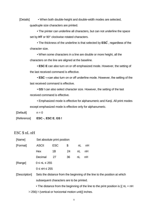[Details] • When both double-height and double-width modes are selected,

quadruple size characters are printed.

• The printer can underline all characters, but can not underline the space set by **HT** or 90° clockwise rotated characters.

• The thickness of the underline is that selected by **ESC** , regardless of the character size.

• When some characters in a line are double or more height, all the characters on the line are aligned at the baseline.

• **ESC E** can also turn on or off emphasized mode. However, the setting of the last received command is effective.

• **ESC —**can also turn on or off underline mode. However, the setting of the last received command is effective.

• **GS !** can also select character size. However, the setting of the last received command is effective.

• Emphasized mode is effective for alphanumeric and Kanji. All print modes except emphasized mode is effective only for alphanumeric.

 $[Default]$   $n = 0$ 

[Reference] **ESC -**, **ESC E**, **GS !**

### ESC \$ nL nH

| [Name]        | Set absolute print position                                                         |            |    |    |       |  |  |  |
|---------------|-------------------------------------------------------------------------------------|------------|----|----|-------|--|--|--|
| [Format]      | <b>ASCII</b>                                                                        | <b>ESC</b> | \$ |    | nL nH |  |  |  |
|               | Hex                                                                                 | 1B         | 24 | nL | nH    |  |  |  |
|               | Decimal                                                                             | 27         | 36 | nL | nH    |  |  |  |
| [Range]       | $0 \leq nL \leq 255$                                                                |            |    |    |       |  |  |  |
|               | $0 \leq nH \leq 255$                                                                |            |    |    |       |  |  |  |
| [Description] | Sets the distance from the beginning of the line to the position at which           |            |    |    |       |  |  |  |
|               | subsequent characters are to be printed.                                            |            |    |    |       |  |  |  |
|               | • The distance from the beginning of the line to the print position is $[(nL + nH)$ |            |    |    |       |  |  |  |

 $\times$  256) $\times$  (vertical or horizontal motion unit)] inches.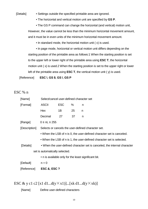#### [Details] • Settings outside the specified printable area are ignored.

• The horizontal and vertical motion unit are specified by **GS P**.

• The GS P command can change the horizontal (and vertical) motion unit, However, the value cannot be less than the minimum horizontal movement amount, and it must be in even units of the minimum horizontal movement amount.

• In standard mode, the horizontal motion unit ( x) is used.

• In page mode, horizontal or vertical motion unit differs depending on the starting position of the printable area as follows:1 When the starting position is set to the upper left or lower right of the printable area using **ESC T**, the horizontal motion unit ( x) is used.2 When the starting position is set to the upper right or lower left of the printable area using **ESC T**, the vertical motion unit ( y) is used.

[Reference] **ESC \**, **GS \$**, **GS \**, **GS P**

#### ESC % n

| [Reference]   | <b>ESC &amp;, ESC ?</b>                                               |            |    |                                                                           |  |  |  |
|---------------|-----------------------------------------------------------------------|------------|----|---------------------------------------------------------------------------|--|--|--|
| [Default]     | $n = 0$                                                               |            |    |                                                                           |  |  |  |
|               |                                                                       |            |    | • n is available only for the least significant bit.                      |  |  |  |
|               | set is automatically selected.                                        |            |    |                                                                           |  |  |  |
| [Details]     |                                                                       |            |    | • When the user-defined character set is canceled, the internal character |  |  |  |
|               |                                                                       |            |    | • When the LSB of n is 1, the user-defined character set is selected.     |  |  |  |
|               | . When the LSB of n is 0, the user-defined character set is canceled. |            |    |                                                                           |  |  |  |
| [Description] |                                                                       |            |    | Selects or cancels the user-defined character set.                        |  |  |  |
| [Range]       | $0 \leq nL \leq 255$                                                  |            |    |                                                                           |  |  |  |
|               | Decimal                                                               | 27         | 37 | n                                                                         |  |  |  |
|               | Hex                                                                   | 1B         | 25 | n                                                                         |  |  |  |
| [Format]      | <b>ASCII</b>                                                          | <b>ESC</b> | %  | n                                                                         |  |  |  |
| [Name]        | Select/cancel user-defined character set                              |            |    |                                                                           |  |  |  |

ESC & y c1 c2 [x1 d1...d(y $\times$ x1)]...[xk d1...d(y $\times$ xk)]

[Name] Define user-defined characters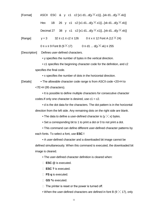| [Format] | ASCII ESC & y c1 c2 [x1 d1d(y $\times$ x1)][xk d1d(y $\times$ xk)]                |
|----------|-----------------------------------------------------------------------------------|
|          | 1B 26 y c1 c2 [x1 d1d(y $\times$ x1)][xk d1d(y $\times$ xk)]<br>Hex               |
|          | Decimal 27 38 y c1 c2 [x1 d1d(y $\times$ x1)][xk d1d(y $\times$ xk)]              |
| [Range]  | $0 \le x \le 12$ Font A (12 $\times$ 24)<br>$32 \le c1 \le c2 \le 126$<br>$y = 3$ |
|          | $0 \le x \le 9$ Font B (9 $\times$ 17)<br>$0 \le d1$ $d(y \times xk) \le 255$     |
|          |                                                                                   |

[Description] Defines user-defined characters.

• y specifies the number of bytes in the vertical direction.

• c1 specifies the beginning character code for the definition, and c2 specifies the final code.

• x specifies the number of dots in the horizontal direction.

[Details] • The allowable character code range is from ASCII code <20>H to <7E>H (95 characters).

> • It is possible to define multiple characters for consecutive character codes. If only one character is desired, use  $c1 = c2$ .

• d is the dot data for the characters. The dot pattern is in the horizontal direction from the left side. Any remaining dots on the right side are blank.

• The data to define a user-defined character is  $(y \times x)$  bytes.

• Set a corresponding bit to 1 to print a dot or 0 to not print a dot.

• This command can define different user-defined character patterns by each fonts. To select a font, use **ESC !**

• A user-defined character and a downloaded bit image cannot be defined simultaneously. When this command is executed, the downloaded bit image is cleared.

• The user-defined character definition is cleared when:

- ① **ESC @** is executed.
- ② **ESC ?** is executed.
- ③ **FS q** is executed.
- ④ **GS \***is executed.

 $\Box$  The printer is reset or the power is turned off.

• When the user-defined characters are defined in font B (9  $\times$  17), only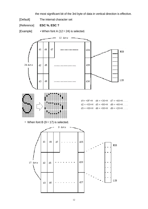the most significant bit of the 3rd byte of data in vertical direction is effective.

- [Default] The internal character set
- [Reference] **ESC %**, **ESC ?**
- [Example] When font A  $(12 \times 24)$  is selected.

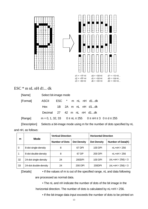

### $\text{ESC} * \text{m nL nH d1... dk}$

| [Name]        | Select bit-image mode                                                   |      |  |  |  |  |                    |                                                                          |  |
|---------------|-------------------------------------------------------------------------|------|--|--|--|--|--------------------|--------------------------------------------------------------------------|--|
| [Format]      | <b>ASCII</b>                                                            |      |  |  |  |  | ESC * m nL nH d1dk |                                                                          |  |
|               | Hex                                                                     | 1B - |  |  |  |  | 2A m nL nH d1dk    |                                                                          |  |
|               | Decimal                                                                 |      |  |  |  |  | 27 42 m nL nH d1dk |                                                                          |  |
| [Range]       |                                                                         |      |  |  |  |  |                    | $m = 0, 1, 32, 33$ $0 \le nL \le 255$ $0 \le nH \le 3$ $0 \le d \le 255$ |  |
| [Description] | Selects a bit-image mode using m for the number of dots specified by nL |      |  |  |  |  |                    |                                                                          |  |

and nH, as follows:

| m        | <b>Mode</b>           | <b>Vertical Direction</b> |                    | <b>Horizontal Direction</b> |                                 |  |
|----------|-----------------------|---------------------------|--------------------|-----------------------------|---------------------------------|--|
|          |                       | <b>Number of Dots</b>     | <b>Dot Density</b> | <b>Dot Density</b>          | Number of Data(K)               |  |
| $\Omega$ | 8-dot single-density  | 8                         | 67 DPI             | 100 DPI                     | $nL+nH \times 256$              |  |
|          | 8-dot double-density  | 8                         | 67 DP              | 200 DPI                     | $nL+nH \times 256$              |  |
| 32       | 24-dot single-density | 24                        | 200DPI             | 100 DPI                     | (nL+nH $\times$ 256) $\times$ 3 |  |
| 33       | 24-dot double-density | 24                        | 200 DPI            | 200DPI                      | (nL+nH $\times$ 256) $\times$ 3 |  |

[Details] • If the values of m is out of the specified range, nL and data following are processed as normal data.

> • The nL and nH indicate the number of dots of the bit image in the horizontal direction. The number of dots is calculated by  $nL+nH \times 256$ .

• If the bit-image data input exceeds the number of dots to be printed on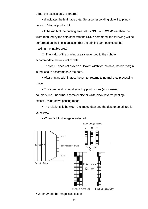a line, the excess data is ignored.

• d indicates the bit-image data. Set a corresponding bit to 1 to print a dot or to 0 to not print a dot.

• If the width of the printing area set by **GS L** and **GS W** less than the width required by the data sent with the **ESC \*** command, the following will be performed on the line in question (but the printing cannot exceed the maximum printable area):

 $\Box$  The width of the printing area is extended to the right to accommodate the amount of data.

 $\Box$  If step  $\Box$  does not provide sufficient width for the data, the left margin is reduced to accommodate the data.

• After printing a bit image, the printer returns to normal data processing mode.

• This command is not affected by print modes (emphasized,

double-strike, underline, character size or white/black reverse printing), except upside-down printing mode.

• The relationship between the image data and the dots to be printed is as follows:



• When 8-dot bit image is selected:

• When 24-dot bit image is selected: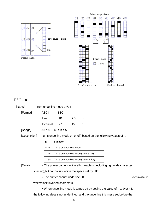

### $\text{ESC}-n$

| [Name]        |              | Turn underline mode on/off          |    |                                                                            |                     |
|---------------|--------------|-------------------------------------|----|----------------------------------------------------------------------------|---------------------|
| [Format]      | <b>ASCII</b> | <b>ESC</b>                          |    | n                                                                          |                     |
|               | Hex          | 1B                                  | 2D | n                                                                          |                     |
|               | Decimal      | 27                                  | 45 | n                                                                          |                     |
| [Range]       |              | $0 \le n \le 2$ , $48 \le n \le 50$ |    |                                                                            |                     |
| [Description] |              |                                     |    | Turns underline mode on or off, based on the following values of n:        |                     |
|               | n            | <b>Function</b>                     |    |                                                                            |                     |
|               | 0, 48        | Turns off underline mode            |    |                                                                            |                     |
|               | 1,49         |                                     |    | Turns on underline mode (1-dot thick)                                      |                     |
|               | 2, 50        |                                     |    | Turns on underline mode (2-dots thick)                                     |                     |
| [Details]     |              |                                     |    | • The printer can underline all characters (including right-side character |                     |
|               |              |                                     |    | spacing), but cannot underline the space set by HT.                        |                     |
|               |              | • The printer cannot underline 90   |    |                                                                            | $\Box$ clockwise rc |

white/black inverted characters.

• When underline mode id turned off by setting the value of n to 0 or 48,

the following data is not underlined, and the underline thickness set before the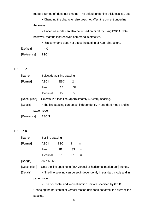mode is turned off does not change. The default underline thickness is 1 dot.

• Changing the character size does not affect the current underline thickness.

• Underline mode can also be turned on or off by using **ESC !**. Note, however, that the last received command is effective.

•This command does not affect the setting of Kanji characters.

| [Default] | $n = 0$ |
|-----------|---------|
|           |         |

[Reference] **ESC !**

#### ESC 2

| [Name]        |                                                       | Select default line spacing                                        |    |  |  |  |  |  |
|---------------|-------------------------------------------------------|--------------------------------------------------------------------|----|--|--|--|--|--|
| [Format]      | <b>ASCII</b>                                          | <b>ESC</b>                                                         | 2  |  |  |  |  |  |
|               | Hex                                                   | 1B                                                                 | 32 |  |  |  |  |  |
|               | Decimal                                               | 27                                                                 | 50 |  |  |  |  |  |
| [Description] | Selects 1/6-inch line (approximately 4.23mm) spacing. |                                                                    |    |  |  |  |  |  |
| [Details]     |                                                       | •The line spacing can be set independently in standard mode and in |    |  |  |  |  |  |
|               | page mode.                                            |                                                                    |    |  |  |  |  |  |
|               |                                                       |                                                                    |    |  |  |  |  |  |

[Reference] **ESC 3**

### ESC 3 n

| [Name]        | Set line spacing  |      |    |    |                                                                                                      |
|---------------|-------------------|------|----|----|------------------------------------------------------------------------------------------------------|
| [Format]      | <b>ASCII</b>      | ESC. | 3  | n, |                                                                                                      |
|               | Hex               | 1B   | 33 | n  |                                                                                                      |
|               | Decimal           | 27   | 51 | n  |                                                                                                      |
| [Range]       | $0 \le n \le 255$ |      |    |    |                                                                                                      |
| [Description] |                   |      |    |    | Sets the line spacing to $\lceil n \times \text{vertical} \rceil$ or horizontal motion unit] inches. |
| [Details]     |                   |      |    |    | • The line spacing can be set independently in standard mode and in                                  |

page mode.

• The horizontal and vertical motion unit are specified by **GS P**. Changing the horizontal or vertical motion unit does not affect the current line spacing.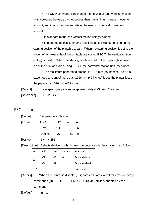• The **GS P** command can change the horizontal (and vertical) motion unit. However, the value cannot be less than the minimum vertical movement amount, and it must be in even units of the minimum vertical movement amount.

• In standard mode, the vertical motion unit (y) is used.

• In page mode, this command functions as follows, depending on the starting position of the printable area: $\Box$  When the starting position is set to the upper left or lower right of the printable area using **ESC T**, the vertical motion unit (y) is used.  $\Box$  When the starting position is set to the upper right or lower left of the print able area using **ESC T**, the horizontal motion unit ( x) is used.

• The maximum paper feed amount is 1016 mm (40 inches). Even if a paper feed amount of more than 1016 mm (40 inches) is set, the printer feeds the paper only 1016 mm (40 inches).

[Default] Line spacing equivalent to approximately 4.23mm (1/6 inches).

[Reference] **ESC 2**, **GS P**

#### $\text{ESC}$  = n

| [Name]   | Set peripheral device |      |     |   |
|----------|-----------------------|------|-----|---|
| [Format] | <b>ASCII</b>          | ESC  | $=$ | n |
|          | Hex                   | 1B   | 3D  | n |
|          | Decimal               | - 27 | 61  | n |

 $[Range]$  1  $\leq$  n  $\leq$  255

[Description] Selects device to which host computer sends data, using n as follows:

| Bit     | Off/On | Hex | Decimal | Function         |
|---------|--------|-----|---------|------------------|
|         | Off    | 00  |         | Printer disabled |
|         |        | 01  |         | Printer enabled  |
| $1 - 7$ |        |     |         | Undefined        |

[Details] When the printer is disabled, it ignores all data except for error-recovery

commands (**DLE EOT, DLE ENQ, DLE DC4**) until it is enabled by this

command.

[Default] n = 1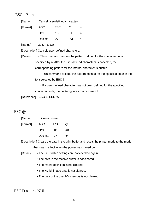### ESC ? n

| [Format] | ASCII      | ESC. |     |   |
|----------|------------|------|-----|---|
|          | <b>Hex</b> | 1B   | 3E. | n |
|          | Decimal    | - 27 | 63  |   |

[Range] 32 ≤ n ≤ 126

[Description] Cancels user-defined characters.

[Details] • This command cancels the pattern defined for the character code specified by n. After the user-defined characters is canceled, the corresponding pattern for the internal character is printed.

> • This command deletes the pattern defined for the specified code in the font selected by **ESC !**.

• If a user-defined character has not been defined for the specified character code, the printer ignores this command.

[Reference] **ESC &**, **ESC %**

#### ESC @

| [Name]   | Initialize printer |     |                      |
|----------|--------------------|-----|----------------------|
| [Format] | <b>ASCII</b>       | ESC | $^{\textregistered}$ |
|          | <b>Hex</b>         | 1B  | 40                   |
|          | Decimal            | -27 | 64                   |

[Description] Clears the data in the print buffer and resets the printer mode to the mode

that was in effect when the power was turned on.

[Details] • The DIP switch settings are not checked again.

- The data in the receive buffer is not cleared.
- The macro definition is not cleared.
- The NV bit image data is not cleared.
- The data of the user NV memory is not cleared.

### ESC D n1...nk NUL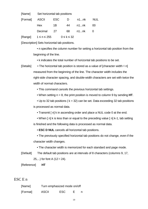| [Name] Set horizontal tab positions |            |                    |       |            |
|-------------------------------------|------------|--------------------|-------|------------|
| [Format] ASCII                      | <b>ESC</b> | D                  | n1nk  | <b>NUL</b> |
| Hex                                 | 1B         | 44                 | n1…nk | 00         |
| Decimal                             | 27         | 68                 | n1…nk |            |
| [Range] $1 \le n \le 255$           |            | $0 \leq k \leq 32$ |       |            |

[Description] Sets horizontal tab positions.

• n specifies the column number for setting a horizontal tab position from the beginning of the line.

• k indicates the total number of horizontal tab positions to be set.

[Details] • The horizontal tab position is stored as a value of [character width $\times$ n] measured from the beginning of the line. The character width includes the right-side character spacing, and double-width characters are set with twice the width of normal characters.

• This command cancels the previous horizontal tab settings.

• When setting n = 8, the print position is moved to column 9 by sending **HT**.

• Up to 32 tab positions ( $k = 32$ ) can be set. Data exceeding 32 tab positions is processed as normal data.

• Transmit [ n] k in ascending order and place a NUL code 0 at the end.

• When [n] k is less than or equal to the preceding value [n] k-1, tab setting is finished and the following data is processed as normal data.

• **ESC D NUL** cancels all horizontal tab positions.

• The previously specified horizontal tab positions do not change, even if the character width changes.

• The character width is memorized for each standard and page mode.

[Default] The default tab positions are at intervals of 8 characters (columns 9, 17, 25,...) for font A ( $12 \times 24$ ).

[Reference] **HT**

#### ESC E n

| [Name]   |              | Turn emphasized mode on/off |  |
|----------|--------------|-----------------------------|--|
| [Format] | <b>ASCII</b> | <b>ESC</b>                  |  |

19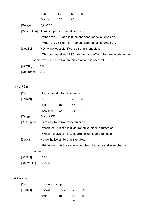|               | Hex                             | 1B | 45 | n                                                                 |
|---------------|---------------------------------|----|----|-------------------------------------------------------------------|
|               | Decimal                         | 27 | 69 | n                                                                 |
| [Range]       | 0≤n≤255                         |    |    |                                                                   |
| [Description] | Turns emphasized mode on or off |    |    |                                                                   |
|               |                                 |    |    | • When the LSB of n is 0, emphasized mode is turned off.          |
|               |                                 |    |    | • When the LSB of n is 1, emphasized mode is turned on.           |
| [Details]     |                                 |    |    | • Only the least significant bit of n is enabled.                 |
|               |                                 |    |    | . This command and ESC ! turn on and off emphasized mode in the   |
|               |                                 |    |    | same way. Be careful when this command is used with <b>ESC</b> !. |
| [Default]     | $n = 0$                         |    |    |                                                                   |
| [Reference]   | ESC!                            |    |    |                                                                   |

### ESC G n

| [Name]        | Turn on/off double-strike mode                              |            |    |                                                                      |
|---------------|-------------------------------------------------------------|------------|----|----------------------------------------------------------------------|
| [Format]      | <b>ASCII</b>                                                | <b>ESC</b> | G  | n                                                                    |
|               | Hex                                                         | 1B         | 47 | n                                                                    |
|               | Decimal                                                     | 27         | 71 | n                                                                    |
| [Range]       | $0 \le n \le 255$                                           |            |    |                                                                      |
| [Description] | Turns double-strike mode on or off.                         |            |    |                                                                      |
|               | • When the LSB of n is 0, double-strike mode is turned off. |            |    |                                                                      |
|               |                                                             |            |    | • When the LSB of n is 1, double-strike mode is turned on.           |
| [Details]     | • Only the lowest bit of n is enabled.                      |            |    |                                                                      |
|               |                                                             |            |    | • Printer output is the same in double-strike mode and in emphasized |
| mode.         |                                                             |            |    |                                                                      |
| [Default]     | $n = 0$                                                     |            |    |                                                                      |
| [Reference]   | <b>ESCE</b>                                                 |            |    |                                                                      |

### ESC J n

| [Name]   | Print and feed paper |            |    |   |
|----------|----------------------|------------|----|---|
| [Format] | <b>ASCII</b>         | <b>ESC</b> |    |   |
|          | Hex                  | 1Β         | 4А | n |
|          |                      |            | 20 |   |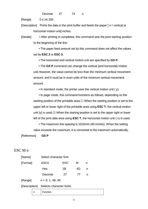Decimal 27 74 n

 $[Range]$   $0 \leq n \leq 255$ 

[Description] Prints the data in the print buffer and feeds the paper  $\lceil n \times$  vertical or horizontal motion unit] inches.

[Details] • After printing is completed, this command sets the print starting position to the beginning of the line.

> • The paper feed amount set by this command does not affect the values set by **ESC 2** or **ESC 3**.

• The horizontal and vertical motion unit are specified by **GS P**.

• The **GS P** command can change the vertical (and horizontal) motion unit.However, the value cannot be less than the minimum vertical movement amount, and it must be in even units of the minimum vertical movement amount.

• In standard mode, the printer uses the vertical motion unit ( y).

• In page mode, this command functions as follows, depending on the starting position of the printable area:① When the starting position is set to the upper left or lower right of the printable area using **ESC T**, the vertical motion unit (y) is used.② When the starting position is set to the upper right or lower left of the print able area using **ESC T**, the horizontal motion unit ( x) is used.

• The maximum line spacing is 1016mm (40 inches). When the setting value exceeds the maximum, it is converted to the maximum automatically.

[Reference] **GS P**

ESC M n

| [Name]   |   | Select character font                  |            |    |   |  |
|----------|---|----------------------------------------|------------|----|---|--|
| [Format] |   | <b>ASCII</b>                           | <b>ESC</b> | м  | n |  |
|          |   | Hex                                    | 1B         | 4D | n |  |
|          |   | Decimal                                | 27         | 77 | n |  |
| [Range]  |   | $n = 0, 1, 48, 49$                     |            |    |   |  |
|          |   | [Description] Selects character fonts. |            |    |   |  |
|          | n | Function                               |            |    |   |  |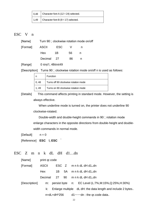|      | $\vert$ 0,48 $\vert$ Character font A (12 $\times$ 24) selected. |
|------|------------------------------------------------------------------|
| 1,49 | Character font B $(9 \times 17)$ selected.                       |

#### ESC V n

| [Name]   | Turn 90□ clockwise rotation mode on/off |     |     |   |  |
|----------|-----------------------------------------|-----|-----|---|--|
| [Format] | ASCII                                   | ESC |     |   |  |
|          | Hex                                     | 1B  | 56. | n |  |
|          | Decimal 27                              |     | 86  |   |  |

[Range] 0 ≤n≤1, 48≤n≤49

[Description] Turns 90 clockwise rotation mode on/off n is used as follows:

| n    | <b>Function</b>                      |
|------|--------------------------------------|
| 0,48 | Turns off 90 clockwise rotation mode |
| 1.49 | Turns on 90 clockwise rotation mode  |

[Details] This command affects printing in standard mode. However, the setting is always effective.

> When underline mode is turned on, the printer does not underline 90 clockwise-rotated.

Double-width and double-height commands in 90 rotation mode enlarge characters in the opposite directions from double-height and doublewidth commands in normal mode.

 $[Default]$   $n = 0$ 

[Reference] **ESC !, ESC** 

### ESC Z m n k dL dH d1…dn

| [Name]        | print gr.code |                    |    |                                                              |
|---------------|---------------|--------------------|----|--------------------------------------------------------------|
| [Format]      | <b>ASCII</b>  |                    |    | $\textsf{ESC}$ Z mnkdLdHd1,,dn                               |
|               | Hex           | 1B                 |    | 5A m n k dL dH d1,,dn                                        |
|               | Decimal       | 27                 | 90 | m n k dL dH d1,,dn                                           |
| [Description] | m:            |                    |    | persist byte n: EC Level (L:7%, M:15%, Q:25%, H:30%)         |
|               | k:            |                    |    | Enlarge multiple dL dH: the data length and include 2 bytes. |
|               |               | $n = dL + dH^*256$ |    | d1 ······ dn : the qr.code data.                             |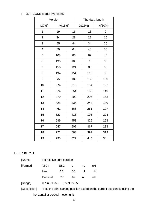### 《QR-CODE Model (Version)》

| Version                 |        | The data length |     |        |        |
|-------------------------|--------|-----------------|-----|--------|--------|
| L(7%)                   | M(15%) |                 |     | Q(25%) | H(30%) |
| 1                       | 19     |                 | 16  | 13     | 9      |
| $\overline{2}$          | 34     |                 | 28  | 22     | 16     |
| 3                       | 55     |                 | 44  | 34     | 26     |
| $\overline{\mathbf{4}}$ | 80     | 64              |     | 48     | 36     |
| 5                       | 108    |                 | 86  | 62     | 46     |
| 6                       | 136    |                 | 108 | 76     | 60     |
| $\overline{7}$          | 156    |                 | 124 | 88     | 66     |
| 8                       | 194    |                 | 154 | 110    | 86     |
| 9                       | 232    |                 | 182 | 132    | 100    |
| 10                      | 274    | 216             |     | 154    | 122    |
| 11                      | 324    |                 | 254 | 180    | 140    |
| 12                      | 370    |                 | 290 | 206    | 158    |
| 13                      | 428    | 334             |     | 244    | 180    |
| 14                      | 461    |                 | 365 | 261    | 197    |
| 15                      | 523    |                 | 415 | 195    | 223    |
| 16                      | 589    |                 | 453 | 325    | 253    |
| 17                      | 647    |                 | 507 | 367    | 283    |
| 18                      | 721    |                 | 563 | 397    | 313    |
| 19                      | 795    | 627             |     | 445    | 341    |

### $\text{ESC} \setminus \text{nL} \text{nH}$

| [Name]        | Set relative print position               |      |    |    |                                                                             |
|---------------|-------------------------------------------|------|----|----|-----------------------------------------------------------------------------|
| [Format]      | <b>ASCII</b>                              | ESC. |    | nL | nH                                                                          |
|               | Hex                                       | 1B   | 5C | nL | nH                                                                          |
|               | Decimal                                   | 27   | 92 | nL | nH                                                                          |
| [Range]       | $0 \leq nL \leq 255$ $0 \leq nH \leq 255$ |      |    |    |                                                                             |
| [Description] |                                           |      |    |    | Sets the print starting position based on the current position by using the |
|               | horizontal or vertical motion unit.       |      |    |    |                                                                             |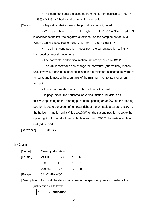• This command sets the distance from the current position to  $I$  (nL + nH)  $\times$ 256) $\times$ 0.125mm] horizontal or vertical motion unit]

[Details] • Any setting that exceeds the printable area is ignored.

• When pitch N is specified to the right:  $nL + nH \times 256 = N$  When pitch N is specified to the left (the negative direction), use the complement of 65536. When pitch N is specified to the left:  $nL+nH \times 256 = 65536 - N$ 

• The print starting position moves from the current position to [N  $\times$ horizontal or vertical motion unit]

• The horizontal and vertical motion unit are specified by **GS P**.

• The **GS P** command can change the horizontal (and vertical) motion unit.However, the value cannot be less than the minimum horizontal movement amount, and it must be in even units of the minimum horizontal movement amount.

• In standard mode, the horizontal motion unit is used.

• In page mode, the horizontal or vertical motion unit differs as follows,depending on the starting point of the printing area:①When the starting position is set to the upper left or lower right of the printable area using **ESC T**, the horizontal motion unit ( x) is used.②When the starting position is set to the upper right or lower left of the printable area using **ESC T**, the vertical motion unit ( y) is used.

[Reference] **ESC \$**, **GS P**

#### ESC a n

| [Name]   | Select justification |            |    |    |
|----------|----------------------|------------|----|----|
| [Format] | <b>ASCII</b>         | <b>ESC</b> | a  | n  |
|          | Hex                  | 1Β         | 61 | n. |
|          | Decimal              | 27         | 97 | n  |
|          |                      |            |    |    |

[Range] 0≤n≤2, 48≤n≤50

[Description] Aligns all the data in one line to the specified position n selects the justification as follows:

|  | <b>Justification</b> |
|--|----------------------|
|--|----------------------|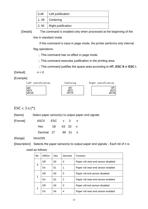| 0,48  | Left justification  |  |  |
|-------|---------------------|--|--|
| 1, 49 | Centering           |  |  |
| 2, 50 | Right justification |  |  |

[Details] The command is enabled only when processed at the beginning of the

line in standard mode.

If this command is input in page mode, the printer performs only internal

flag operations.

 $\Box$  This command has no effect in page mode.

 $\Box$  This command executes justification in the printing area.

This command justifies the space area according to **HT, ESC \$** or **ESC \**.

 $[Default]$   $n = 0$ 

[Example]



### ESC c  $3 n (*)$

[Name] Select paper sensor(s) to output paper end signals

| [Format] | ASCII ESC c 3      |  |  |
|----------|--------------------|--|--|
|          | Hex 1B 63 33 n     |  |  |
|          | Decimal 27 99 51 n |  |  |

[Range] 0≤n≤255

[Description] Selects the paper sensor(s) to output paper end signals  $\Box$  Each bit of n is

used as follows:

| Bit | Off/On | Hex | Decimal        | Function                            |
|-----|--------|-----|----------------|-------------------------------------|
|     | Off    | 00  | 0              | Paper roll near-end sensor disabled |
| 0   | On     | 01  |                | Paper roll near-end sensor enabled  |
|     | Off    | 00  | 0              | Paper roll end sensor disabled      |
| 1   | On     | 02  | $\overline{2}$ | Paper roll near-end sensor enabled  |
|     | Off    | 00  | 0              | Paper roll end sensor disabled      |
| 2   |        | 04  |                | Paper roll near-end sensor enabled  |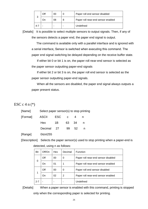| 3 | Off | 00 | Paper roll end sensor disabled     |
|---|-----|----|------------------------------------|
|   | On  | 08 | Paper roll near-end sensor enabled |
|   |     |    | Undefined                          |

[Details] It is possible to select multiple sensors to output signals. Then, if any of the sensors detects a paper end, the paper end signal is output.

The command is available only with a parallel interface and is ignored with a serial interface, Sensor is switched when executing this command. The paper end signal switching be delayed depending on the receive buffer state.

If either bit 0 or bit 1 is on, the paper roll near-end sensor is selected as the paper sensor outputting paper-end signals

If either bit 2 or bit 3 is on, the paper roll end sensor is selected as the paper sensor outputting paper-end signals.

When all the sensors are disabled, the paper end signal always outputs a paper present status.

### ESC c 4 n  $(*)$

| [Name]   | Select paper sensor(s) to stop printing |    |       |     |  |
|----------|-----------------------------------------|----|-------|-----|--|
| [Format] | ASCII ESC c                             |    |       |     |  |
|          | Hex                                     | 1B | 63 34 |     |  |
|          | Decimal 27                              |    | 99    | -52 |  |

[Range] 0≤n≤255

[Description] Selects the paper sensor(s) used to stop printing when a paper-end is detected, using n as follows:

| Bit     | Off/On | Hex | Decimal | <b>Function</b>                     |
|---------|--------|-----|---------|-------------------------------------|
|         | Off    | 00  | 0       | Paper roll near-end sensor disabled |
| 0       | On     | 01  | 1       | Paper roll near-end sensor enabled  |
|         | Off    | 00  | 0       | Paper roll end sensor disabled      |
| 1       | On     | 02  | 2       | Paper roll near-end sensor enabled  |
| $2 - 7$ |        |     |         | Undefined                           |

[Details] When a paper sensor is enabled with this command, printing is stopped only when the corresponding paper is selected for printing.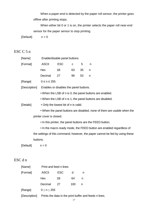When a paper-end is detected by the paper roll sensor, the printer goes offline after printing stops.

When either bit 0 or 1 is on, the printer selects the paper roll near-end sensor for the paper sensor to stop printing.

 $[Default]$   $n = 0$ 

### ESC C 5 n

|         | [Name]        | Enable/disable panel buttons                             |            |             |    |                                                                               |  |
|---------|---------------|----------------------------------------------------------|------------|-------------|----|-------------------------------------------------------------------------------|--|
|         | [Format]      | <b>ASCII</b>                                             | <b>ESC</b> | $\mathbf C$ | 5  | n                                                                             |  |
|         |               | Hex                                                      | 1B         | 63          | 35 | n                                                                             |  |
|         |               | Decimal                                                  | 27         | 99          | 53 | $\mathsf{n}$                                                                  |  |
|         | [Range]       | $0 \leq n \leq 255$                                      |            |             |    |                                                                               |  |
|         | [Description] | Enables or disables the panel buttons.                   |            |             |    |                                                                               |  |
|         |               | • When the LSB of n is 0, the panel buttons are enabled. |            |             |    |                                                                               |  |
|         |               |                                                          |            |             |    | • When the LSB of n is 1, the panel buttons are disabled.                     |  |
|         | [Details]     | • Only the lowest bit of n is valid.                     |            |             |    |                                                                               |  |
|         |               |                                                          |            |             |    | . When the panel buttons are disabled, none of them are usable when the       |  |
|         |               | printer cover is closed.                                 |            |             |    |                                                                               |  |
|         |               |                                                          |            |             |    | • In this printer, the panel buttons are the FEED button.                     |  |
|         |               |                                                          |            |             |    | • In the macro ready mode, the FEED button are enabled regardless of          |  |
|         |               |                                                          |            |             |    | the settings of this command; however, the paper cannot be fed by using these |  |
|         | buttons.      |                                                          |            |             |    |                                                                               |  |
|         | [Default]     | $n = 0$                                                  |            |             |    |                                                                               |  |
|         |               |                                                          |            |             |    |                                                                               |  |
| ESC d n |               |                                                          |            |             |    |                                                                               |  |

| [Name]        | Print and feed n lines |     |     |                                                        |  |  |
|---------------|------------------------|-----|-----|--------------------------------------------------------|--|--|
| [Format]      | <b>ASCII</b>           | ESC | d   | n                                                      |  |  |
|               | Hex                    | 1Β  | 64  | n                                                      |  |  |
|               | Decimal                | 27  | 100 | n                                                      |  |  |
| [Range]       | 0 < n < 255            |     |     |                                                        |  |  |
| [Description] |                        |     |     | Prints the data in the print buffer and feeds n lines. |  |  |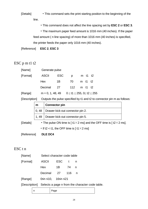- [Details] This command sets the print starting position to the beginning of the line.
	- This command does not affect the line spacing set by **ESC 2** or **ESC 3**.

• The maximum paper feed amount is 1016 mm (40 inches). If the paper feed amount ( n line spacing) of more than 1016 mm (40 inches) is specified, the printer feeds the paper only 1016 mm (40 inches).

[Reference] **ESC 2**, **ESC 3**

### ESC p m t1 t2

| [Name]   | Generate pulse     |            |                                         |  |         |  |
|----------|--------------------|------------|-----------------------------------------|--|---------|--|
| [Format] | ASCII              | <b>ESC</b> | <b>D</b>                                |  | m t1 t2 |  |
|          | Hex                | 1B         | 70                                      |  | m t1 t2 |  |
|          | Decimal            | -27        | 112                                     |  | m t1 t2 |  |
| [Range]  | $m = 0, 1, 48, 49$ |            | $0 \le t1 \le 255$ , $0 \le t2 \le 255$ |  |         |  |

[Description] Outputs the pulse specified by t1 and t2 to connector pin m as follows:

|           | m                                                                                   | <b>Connector pin</b>                     |  |  |  |
|-----------|-------------------------------------------------------------------------------------|------------------------------------------|--|--|--|
|           | 0,48                                                                                | Drawer kick-out connector pin 2.         |  |  |  |
|           |                                                                                     | 1, 49   Drawer kick-out connector pin 5. |  |  |  |
| [Details] | • The pulse ON time is [ $t1 \times 2$ ms] and the OFF time is [ $t2 \times 2$ ms]. |                                          |  |  |  |

• If t2 < t1, the OFF time is  $[$  t1  $\times$  2 ms]

[Reference] **DLE DC4**

### ESC t n

| [Name]       | Select character code table     |       |              |    |  |  |
|--------------|---------------------------------|-------|--------------|----|--|--|
| [Format]     | <b>ASCII</b>                    | ESC . | $^{\dagger}$ | n, |  |  |
|              | Hex                             | 1B    | - 74         | n  |  |  |
|              | Decimal                         | 27    | -116         | n  |  |  |
| [Range]      | 0≤n ≤10, 16≤n ≤21               |       |              |    |  |  |
| Inocoriction | Sologto a page in from the obor |       |              |    |  |  |

[Description] Selects a page n from the character code table.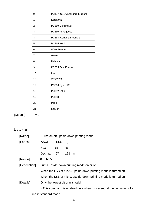| 0              | PC437 [U.S.A.Standard Europe] |
|----------------|-------------------------------|
| 1              | Katakana                      |
| $\overline{2}$ | PC850:Multilingual            |
| 3              | PC860:Portuguese              |
| 4              | PC863 [Canadian French]       |
| 5              | PC865:Nodic                   |
| 6              | West Europe                   |
| 7              | Greek                         |
| 8              | <b>Hebrew</b>                 |
| 9              | PC755: East Europe            |
| 10             | Iran                          |
| 16             | <b>WPC1252</b>                |
| 17             | PC866:Cyrillic#2              |
| 18             | PC852:Latin2                  |
| 19             | PC858                         |
| 20             | Iranll                        |
| 21             | Latvian                       |

 $[Default]$   $n = 0$ 

## $\mathop{\hbox{\rm ESC}}$  { n

| [Name]        | Turns on/off upside-down printing mode                              |                                                                  |       |     |  |  |  |  |  |
|---------------|---------------------------------------------------------------------|------------------------------------------------------------------|-------|-----|--|--|--|--|--|
| [Format]      | <b>ASCII</b>                                                        | <b>ESC</b>                                                       | ₹     | n n |  |  |  |  |  |
|               | Hex                                                                 | 1B                                                               | 7B    | n n |  |  |  |  |  |
|               | Decimal                                                             | 27                                                               | 123 n |     |  |  |  |  |  |
| [Range]       | 0≤n≤255                                                             |                                                                  |       |     |  |  |  |  |  |
| [Description] | Turns upside-down printing mode on or off.                          |                                                                  |       |     |  |  |  |  |  |
|               |                                                                     | When the LSB of n is 0, upside-down printing mode is turned off. |       |     |  |  |  |  |  |
|               | When the LSB of n is 1, upside-down printing mode is turned on.     |                                                                  |       |     |  |  |  |  |  |
| [Details]     | Only the lowest bit of n is valid.                                  |                                                                  |       |     |  |  |  |  |  |
|               | • This command is enabled only when processed at the beginning of a |                                                                  |       |     |  |  |  |  |  |
|               | line in standard mode.                                              |                                                                  |       |     |  |  |  |  |  |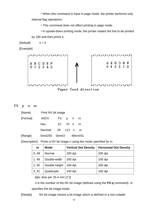• When this command is input in page mode, the printer performs only internal flag operations.

• This command does not affect printing in page mode.

• In upside-down printing mode, the printer rotates the line to be printed by 180 and then prints it.

 $[Default]$   $n = 0$ 

[Example]



Paper feed direction

| <b>L'C</b><br>J |  |  | m |
|-----------------|--|--|---|
|-----------------|--|--|---|

| [Name]   | Print NV bit image |  |           |  |   |  |
|----------|--------------------|--|-----------|--|---|--|
| [Format] | ASCII FS p n       |  |           |  | m |  |
|          | <b>Hex</b>         |  | 1C 70 n m |  |   |  |
|          | Decimal 28 112 n m |  |           |  |   |  |
|          |                    |  |           |  |   |  |

[Range] 0≤n≤255 0≤m≤3 48≤m≤51

[Description] Prints a NV bit image n using the mode specified by m.

| m     | <b>Mode</b>   | <b>Vertical Dot Density</b> | <b>Horizontal Dot Density</b> |
|-------|---------------|-----------------------------|-------------------------------|
| 0, 48 | Normal        | $200$ dpi                   | $200$ dpi                     |
| 1, 49 | Double-width  | 200 dpi                     | $100$ dpi                     |
| 2,50  | Double-height | $100$ dpi                   | 200 dpi                       |
| 3, 51 | Quadruple     | $100$ dpi                   | $100$ dpi                     |

[dpi: dots per 25.4 mm {1"}]

n is the number of the NV bit image (defined using the **FS q** command). m specifies the bit image mode.

[Details] NV bit image means a bit image which is defined in a non-volatile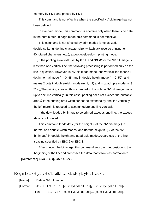memory by **FS q** and printed by **FS p**.

This command is not effective when the specified NV bit image has not been defined.

In standard mode, this command is effective only when there is no data in the print buffer. In page mode, this command is not effective.

This command is not affected by print modes (emphasized, double-strike, underline,character size, white/black reverse printing, or 90 rotated characters, etc.), except upside-down printing mode.

If the printing area width set by **GS L** and **GS W** for the NV bit image is less than one vertical line, the following processing is performed only on the line in question. However, in NV bit image mode, one vertical line means 1 dot in normal mode (m=0, 48) and in double-height mode (m=2, 50), and it means 2 dots in double-width mode (m=1, 49) and in quadruple mode(m=3, 51).①The printing area width is extended to the right in NV bit image mode up to one line vertically. In this case, printing does not exceed the printable area.②If the printing area width cannot be extended by one line vertically, the left margin is reduced to accommodate one line vertically.

If the downloaded bit-image to be printed exceeds one line, the excess data is not printed.

This command feeds dots (for the height n of the NV bit-image) in normal and double-width modes, and (for the height  $n \square 2$  of the NV bit-image) in double-height and quadruple modes,regardless of the line spacing specified by **ESC 2** or **ESC 3**.

After printing the bit image, this command sets the print position to the beginning of the lineand processes the data that follows as normal data. [References] **ESC , FS q, GS /, GS v 0**

```
FS q n [xL xH yL yH d1...dk]_{1}...[xL xH yL yH d1...dk]_{n}
```
[Name] Define NV bit image

[Format] ASCII FS q n [xL xH yL yH d1...dk] $_{1}$ ...[ xL xH yL yH d1...dk] $_{n}$ Hex  $1C$  71 n [xL xH yL yH d1...dk]<sub>1</sub>...[ xL xH yL yH d1...dk]<sub>n</sub>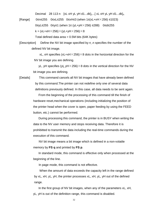Decimal 28 113 n [xL xH yL yH d1...dk]<sub>1</sub>...[ xL xH yL yH d1...dk]<sub>n</sub>

[Range] 0≤n≤255 0≤xL≤255 0≤xH≤3 (when 1≤(xL+xH×256) ≤1023) 0≤yL≤255 0≤y≤1 (when 1≤ (yL+yH×256) ≤288) 0≤d≤255  $k = (xL+xH \times 256) \times (yL+yH \times 256) \times 8$ 

Total defined data area  $= 0.5M$  bits (64K bytes)

[Description] Define the NV bit image specified by n .n specifies the number of the defined NV bit image.

> xL, xH specifies  $(xL+ xH \times 256) \times 8$  dots in the horizontal direction for the NV bit image you are defining.

yL, yH specifies (yL yH $\times$ 256) $\times$ 8 dots in the vertical direction for the NV bit image you are defining.

[Details] This command cancels all NV bit images that have already been defined by this command.The printer can not redefine only one of several data definitions previously defined. In this case, all data needs to be sent again.

> From the beginning of the processing of this command till the finish of hardware reset,mechanical operations (including initializing the position of the printer head when the cover is open, paper feeding by using the FEED button, etc.) cannot be performed.

During processing this command, the printer is in BUSY when writing the data to the NV user memory and stops receiving data. Therefore it is prohibitted to transmit the data including the real-time commands during the execution of this command.

NV bit image means a bit image which is defined in a non-volatile memory by **FS q** and printed by **FS p**.

In standard mode, this command is effective only when processed at the beginning of the line.

In page mode, this command is not effective.

When the amount of data exceeds the capacity left in the range defined by xL, xH, yL, yH, the printer processes xL, xH, yL, yH out of the defined range.

In the first group of NV bit images, when any of the parameters xL, xH, yL, yH is out of the definition range, this command is disabled.

32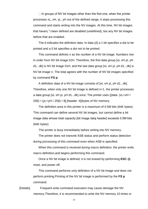$\Box$  In groups of NV bit images other than the first one, when the printer processes xL, xH, yL, yH out of the defined range, it stops processing this command and starts writing into the NV images. At this time, NV bit images that haven¡¯t been defined are disabled (undefined), but any NV bit images before that are enabled.

The d indicates the definition data. In data (d) a 1 bit specifies a dot to be printed and a 0 bit specifies a dot not to be printed.

This command defines n as the number of a NV bit image. Numbers rise in order from NV bit image 01H. Therefore, the first data group [xL xH yL yH d1...dk] is NV bit image 01H, and the last data group [xL xH yL yH d1...dk] is NV bit image n. The total agrees with the number of NV bit images specified by command **FS p**.

A definition data of a NV bit image consists of [xL xH yL yH d1...dk]. Therefore, when only one NV bit image is defined n=1, the printer processes a data group [xL xH yL yH d1...dk] once. The printer uses ([data:  $(xL+xH\times$  $256$ ) $\times$ (yL+yH $\times$ 256) $\times$ 8] [header :4])bytes of NV memory.

The definition area in this printer is a maximum of 0.5M bits (64K bytes). This command can define several NV bit images, but cannot define a bit image data whose total capacity [bit image data header] exceeds 0.5M bits (64K bytes).

The printer is busy immediately before writing into NV memory.

The printer does not transmit ASB status and perform status detection during processing of this command even when ASB is specified.

When this command is received during macro definition, the printer ends macro definition,and begins performing this command.

Once a NV bit image is defined, it is not erased by performing **ESC @**, reset, and power off.

This command performs only definition of a NV bit image and does not perform printing.Printing of the NV bit image is performed by the **FS p**  command.

[Details] Frequent write command execution may cause damage the NV memory.Therefore, it is recommended to write the NV memory 10 times or

33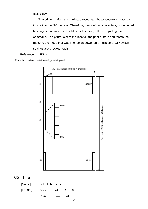less a day.

The printer performs a hardware reset after the procedure to place the image into the NV memory. Therefore, user-defined characters, downloaded bit images, and macros should be defined only after completing this command. The printer clears the receive and print buffers and resets the mode to the mode that was in effect at power on. At this time, DIP switch settings are checked again.

[Reference] **FS p**

[Example] When  $xL = 64$ ,  $xH = 0$ ,  $yL = 96$ ,  $yH = 0$ 



GS ! n

| [Name]   |       | Select character size |                 |    |  |  |
|----------|-------|-----------------------|-----------------|----|--|--|
| [Format] | ASCII | GS -                  |                 | n  |  |  |
|          | Hex   | 1D.                   | $\overline{21}$ | n. |  |  |
|          |       |                       |                 |    |  |  |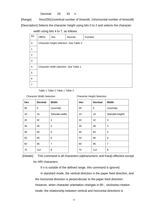Decimal 29 33 n

[Range] 0≤n≤255(1≤vertical number of times≤8, 1≤horizontal number of times≤8) [Description] Selects the character height using bits 0 to 2 and selects the character

width using bits 4 to 7, as follows:

| Bit            | Off/On | Hex | Decimal                                  | Function |
|----------------|--------|-----|------------------------------------------|----------|
| 0              |        |     | Character height selection. See Table 2. |          |
| 1              |        |     |                                          |          |
| $\overline{2}$ |        |     |                                          |          |
| 3              |        |     |                                          |          |
| $\overline{4}$ |        |     | Character width selection. See Table 1.  |          |
| 5              |        |     |                                          |          |
| 6              |        |     |                                          |          |
| 7              |        |     |                                          |          |

Table 1 Table 2 Table 1 Table 2

Character Width Selection Character Height Selection

| Hex    | <b>Decimal</b> | Width           | <b>Hex</b> | <b>Decimal</b> | Width            |
|--------|----------------|-----------------|------------|----------------|------------------|
| $00\,$ | $\mathbf 0$    | 1(normal)       | 00         | $\mathbf 0$    | 1(normal)        |
| 10     | 16             | 2(double-width) | 10         | 16             | 2(double-height) |
| 20     | 32             | 3               | 20         | 32             | 3                |
| 30     | 48             | 4               | 30         | 48             | 4                |
| 40     | 64             | 5               | 40         | 64             | 5                |
| 50     | 80             | 6               | 50         | 80             | 6                |
| 60     | 96             | $\overline{7}$  | 60         | 96             | $\overline{7}$   |
| 70     | 112            | 8               | 70         | 112            | 8                |

[Details] This command is all characters (alphanumeric and Kanji) effective except for HRI characters.

If n is outside of the defined range, this command is ignored.

In standard mode, the vertical direction is the paper feed direction, and the horizontal direction is perpendicular to the paper feed direction. However, when character orientation changes in 90 clockwise-rotation mode, the relationship between vertical and horizontal directions is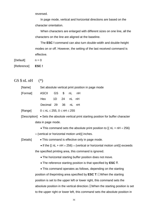reversed.

In page mode, vertical and horizontal directions are based on the character orientation.

When characters are enlarged with different sizes on one line, all the characters on the line are aligned at the baseline.

The **ESC !** command can also turn double-width and double-height modes on or off. However, the setting of the last received command is effective.

 $[Default]$   $n = 0$ 

- [Reference] **ESC !**
- $GS $nL nH$  (\*)

| [Name] | Set absolute vertical print position in page mode |  |  |  |
|--------|---------------------------------------------------|--|--|--|
|--------|---------------------------------------------------|--|--|--|

| [Format] ASCII GS \$ nL nH |                     |  |  |
|----------------------------|---------------------|--|--|
|                            | Hex 1D 24 nL nH     |  |  |
|                            | Decimal 29 36 nL nH |  |  |

 $[Range] \qquad 0 \leq nL \leq 255, 0 \leq nH \leq 255$ 

[Description] • Sets the absolute vertical print starting position for buffer character data in page mode.

- This command sets the absolute print position to  $($  nL + nH  $\times$  256)
- $\times$  (vertical or horizontal motion unit)] inches.

[Details] • This command is effective only in page mode.

• If the  $[(nL + nH \times 256) \times (vertical or horizontal motion unit)]$  exceeds the specified printing area, this command is ignored.

- The horizontal starting buffer position does not move.
- The reference starting position is that specified by **ESC T**.

• This command operates as follows, depending on the starting position of theprinting area specified by **ESC T**:①When the starting position is set to the upper left or lower right, this command sets the absolute position in the vertical direction.②When the starting position is set to the upper right or lower left, this command sets the absolute position in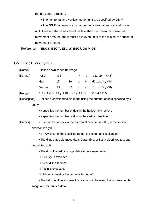the horizontal direction.

• The horizontal and vertical motion unit are specified by **GS P**.

• The **GS P** command can change the horizontal and vertical motion unit.However, the value cannot be less than the minimum horizontal movement amount, and it must be in even units of the minimum horizontal movement amount.

[Reference] **ESC \$, ESC T, ESC W, ESC \, GS P, GS \**

### GS  $*$  x y d1...d(x×y×8)

| [Name]   |              | Define downloaded bit image |  |  |  |                                                                         |  |
|----------|--------------|-----------------------------|--|--|--|-------------------------------------------------------------------------|--|
| [Format] | <b>ASCII</b> | GS —                        |  |  |  | * $x \times y$ d1d( $x \times y \times 8$ )                             |  |
|          | Hex          | 1D                          |  |  |  | 2A x y d1 $d(x \times y \times 8)$                                      |  |
|          | Decimal      | 29                          |  |  |  | 42 x y d1 $d(x \times y \times 8)$                                      |  |
| [Range]  |              |                             |  |  |  | $1 \le x \le 255$ $1 \le y \le 48$ $x \le y \le 1536$ $0 \le d \le 255$ |  |

[Description] Defines a downloaded bit image using the number of dots specified by x

and y

• x specifies the number of dots in the horizontal direction.

• y specifies the number of dots in the vertical direction.

[Details] • The number of dots in the horizontal direction is  $x \times 8$ , in the vertical direction it is  $y \times 8$ .

 $\bullet$  If  $x \times y$  is out of the specified range, this command is disabled.

• The d indicates bit-image data. Data ( d) specifies a bit printed to 1 and not printed to 0.

• The downloaded bit image definition is cleared when:

① **ESC @** is executed.

② **ESC &** is executed.

□ **FS q** is executed.

 $\Box$  Printer is reset or the power is turned off.

• The following figure shows the relationship between the downloaded bit image and the printed data.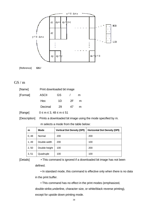

[Reference] **GS /**

### $GS/m$

| [Name]   |                                  | Print downloaded bit image |    |   |  |  |
|----------|----------------------------------|----------------------------|----|---|--|--|
| [Format] | <b>ASCII</b>                     | GS                         |    | m |  |  |
|          | Hex                              | 1D                         | 2F | m |  |  |
|          | Decimal                          | 29                         | 47 | m |  |  |
| [Range]  | $0 \le m \le 3, 48 \le m \le 51$ |                            |    |   |  |  |

[Description] Prints a downloaded bit image using the mode specified by m.

m selects a mode from the table below:

| m     | <b>Mode</b>   | <b>Vertical Dot Density (DPI)</b> | <b>Horizontal Dot Density (DPI)</b> |
|-------|---------------|-----------------------------------|-------------------------------------|
| 0,48  | Normal        | 200                               | 200                                 |
| 1,49  | Double-width  | 200                               | 100                                 |
| 2, 50 | Double-height | 100                               | 200                                 |
| 3, 51 | Quadruple     | 100                               | 100                                 |

[Details] • This command is ignored if a downloaded bit image has not been defined.

> • In standard mode, this command is effective only when there is no data in the print buffer.

• This command has no effect in the print modes (emphasized,

double-strike,underline, character size, or white/black reverse printing), except for upside down printing mode.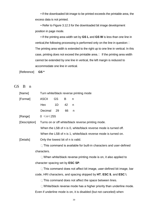• If the downloaded bit-image to be printed exceeds the printable area, the excess data is not printed.

• Refer to Figure 3.12.3 for the downloaded bit image development position in page mode.

• If the printing area width set by **GS L** and **GS W** is less than one line in vertical, the following processing is performed only on the line in question:  $\square$ The printing area width is extended to the right up to one line in vertical. In this case, printing does not exceed the printable area.② If the printing area width cannot be extended by one line in vertical, the left margin is reduced to accommodate one line in vertical.

[Reference] **GS \***

GS B n

| [Name]        | Turn white/black reverse printing mode |           |    |                                                                            |  |
|---------------|----------------------------------------|-----------|----|----------------------------------------------------------------------------|--|
| [Format]      | <b>ASCII</b>                           | <b>GS</b> | B  | n                                                                          |  |
|               | Hex                                    | 1D        | 42 | n                                                                          |  |
|               | Decimal                                | 29        | 66 | n                                                                          |  |
| [Range]       | $0 \le n \le 255$                      |           |    |                                                                            |  |
| [Description] |                                        |           |    | Turns on or off white/black reverse printing mode.                         |  |
|               |                                        |           |    | When the LSB of n is 0, white/black reverse mode is turned off.            |  |
|               |                                        |           |    | When the LSB of n is 1, white/black reverse mode is turned on.             |  |
| [Details]     | Only the lowest bit of n is valid.     |           |    |                                                                            |  |
|               |                                        |           |    | $\Box$ This command is available for built-in characters and user-defined  |  |
|               | characters.                            |           |    |                                                                            |  |
|               |                                        |           |    | $\Box$ When white/black reverse printing mode is on, it also applied to    |  |
|               | character spacing set by ESC SP.       |           |    |                                                                            |  |
|               |                                        |           |    | $\Box$ This command does not affect bit image, user-defined bit image, bar |  |
|               |                                        |           |    | code, HRI characters, and spacing skipped by HT, ESC \$, and ESC \.        |  |
|               |                                        |           |    | $\Box$ This command does not affect the space between lines.               |  |
|               |                                        |           |    | $\Box$ White/black reverse mode has a higher priority than underline mode. |  |
|               |                                        |           |    | Even if underline mode is on, it is disabled (but not canceled) when       |  |

39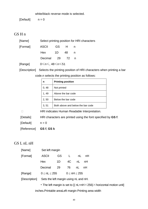white/black reverse mode is selected.

 $[Default]$   $n = 0$ 

### GS H n

| [Name]   | Select printing position for HRI characters |       |   |  |  |  |
|----------|---------------------------------------------|-------|---|--|--|--|
| [Format] | ASCII                                       | GS —  | H |  |  |  |
|          | Hex                                         | 1D 48 |   |  |  |  |
|          | Decimal 29 72 n                             |       |   |  |  |  |
| [Range]  | 0≤n≤, 48≤n≤51                               |       |   |  |  |  |

[Description] Selects the printing position of HRI characters when printing a bar code.n selects the printing position as follows:

| n     | <b>Printing position</b>          |
|-------|-----------------------------------|
| 0, 48 | Not printed                       |
| 1, 49 | Above the bar code                |
| 2, 50 | Below the bar code                |
| 3, 51 | Both above and below the bar code |

**EXECUTE:** HRI indicates Human Readable Interpretation.

[Details] HRI characters are printed using the font specified by **GS f**.

 $[Default]$   $n = 0$ 

[Reference] **GS f**, **GS k**

### GS L nL nH

| [Name]   |              | Set left margin      |    |                      |    |  |  |
|----------|--------------|----------------------|----|----------------------|----|--|--|
| [Format] | <b>ASCII</b> | <b>GS</b>            |    | nL                   | nH |  |  |
|          | Hex          | 1D                   | 4C | nL                   | nH |  |  |
|          | Decimal      | 29                   |    | nL                   | nH |  |  |
| [Range]  |              | $0 \leq nL \leq 255$ |    | $0 \leq nH \leq 255$ |    |  |  |

[Description] Sets the left margin using nL and nH.

• The left margin is set to  $[(nL+nH \times 256) \times$  horizontal motion unit]

inches.Printable areaLeft margin Printing area width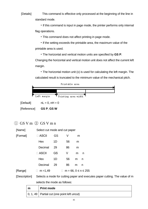[Details] This command is effective only processed at the beginning of the line in standard mode.

> • If this command is input in page mode, the printer performs only internal flag operations.

• This command does not affect printing in page mode.

• If the setting exceeds the printable area, the maximum value of the printable area is used.

• The horizontal and vertical motion units are specified by **GS P**.

Changing the horizontal and vertical motion unit does not affect the current left margin.

• The horizontal motion unit (x) is used for calculating the left margin. The calculated result is truncated to the minimum value of the mechanical pitch.



[Reference] **GS P**, **GS W**

### ① GS V m ② GS V m n

| [Name]   | Select cut mode and cut paper |    |    |   |                           |  |  |
|----------|-------------------------------|----|----|---|---------------------------|--|--|
| [Format] | $\Box$ ASCII                  | GS | V  | m |                           |  |  |
|          | Hex                           | 1D | 56 | m |                           |  |  |
|          | Decimal                       | 29 | 86 | m |                           |  |  |
|          | $\Box$ ASCII                  | GS | V  | m | n                         |  |  |
|          | Hex                           | 1D | 56 | m | n                         |  |  |
|          | Decimal                       | 29 | 86 | m | n                         |  |  |
| [Range]  | $m = 1,49$<br>$\Box$          |    |    |   | $m = 66, 0 \le n \le 255$ |  |  |
|          |                               |    |    |   |                           |  |  |

[Description] Selects a mode for cutting paper and executes paper cutting. The value of m selects the mode as follows:

| m | <b>Print mode</b>                                     |
|---|-------------------------------------------------------|
|   | $\vert$ 0, 1, 49   Partial cut (one point left uncut) |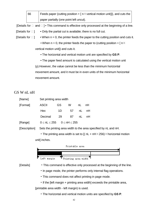66 Feeds paper (cutting position +  $\lceil n \times$  vertical motion unit)]), and cuts the paper partially (one point left uncut).

[Details for  $\Box$  and  $\Box$ ] • This command is effective only processed at the beginning of a line.

- [Details for  $\square$ ] Only the partial cut is available; there is no full cut.
- [Details for  $\square$ ] When  $n = 0$ , the printer feeds the paper to the cutting position and cuts it.
	- When n = 0, the printer feeds the paper to (cutting position +  $\lceil n \times \rceil$ vertical motion unit]) and cuts it.
		- The horizontal and vertical motion unit are specified by **GS P**.

• The paper feed amount is calculated using the vertical motion unit (y).However, the value cannot be less than the minimum horizontal movement amount, and it must be in even units of the minimum horizontal movement amount.

### GS W nL nH

| [Name]   | Set printing area width |     |                      |      |    |  |
|----------|-------------------------|-----|----------------------|------|----|--|
| [Format] | <b>ASCII</b>            | GS  | W                    | nL - | nH |  |
|          | <b>Hex</b>              | 1D. | 57                   | nL   | nH |  |
|          | Decimal                 | 29  | 87                   | nL   | nH |  |
| [Range]  | $0 \leq nL \leq 255$    |     | $0 \leq nH \leq 255$ |      |    |  |

[Description] Sets the printing area width to the area specified by nL and nH.

• The printing area width is set to  $[(nL + nH \times 256) \times$  horizontal motion unit] inches.



- [Details] This command is effective only processed at the beginning of the line.
	- In page mode, the printer performs only internal flag operations.
	- This command does not affect printing in page mode.
	- If the [left margin + printing area width] exceeds the printable area, [printable area width - left margin) is used.
		- The horizontal and vertical motion units are specified by **GS P**.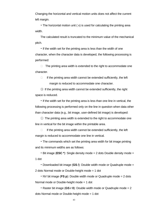Changing the horizontal and vertical motion units does not affect the current left margin.

• The horizontal motion unit ( x) is used for calculating the printing area width.

The calculated result is truncated to the minimum value of the mechanical pitch.

• If the width set for the printing area is less than the width of one character, when the character data is developed, the following processing is performed:

 $\Box$  The printing area width is extended to the right to accommodate one character.

 $\Box$  If the printing area width cannot be extended sufficiently, the left margin is reduced to accommodate one character.

③ If the printing area width cannot be extended sufficiently, the right space is reduced.

• If the width set for the printing area is less than one line in vertical, the following processing is performed only on the line in question when data other than character data (e.g., bit image, user-defined bit image) is developed:

 $\Omega$  The printing area width is extended to the right to accommodate one line in vertical for the bit image within the printable area.

 $\Box$  If the printing area width cannot be extended sufficiently, the left margin is reduced to accommodate one line in vertical.

• The commands which set the printing area width for bit image printing and its minimum widths are as follows:

• Bit image (**ESC \***): Single density mode = 2 dots Double density mode = 1 dot

• Downloaded bit image (**GS /**): Double width mode or Quadruple mode = 2 dots Normal mode or Double-height mode = 1 dot

• NV bit image (**FS p**): Double width mode or Quadruple mode = 2 dots Normal mode or Double-height mode = 1 dot

• Raster bit image (**GS r 0**): Double width mode or Quadruple mode = 2 dots Normal mode or Double-height mode = 1 dot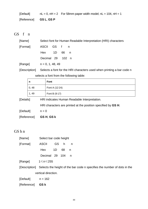| [Default]                     | $nL = 0$ , $nH = 2$ For 58mm paper width model; $nL = 104$ , $nH = 1$ |
|-------------------------------|-----------------------------------------------------------------------|
| [Reference] <b>GS L, GS P</b> |                                                                       |

GS f n

| [Name]   | Select font for Human Readable Interpretation (HRI) characters |  |  |  |  |  |  |
|----------|----------------------------------------------------------------|--|--|--|--|--|--|
| [Format] | ASCII GS f n                                                   |  |  |  |  |  |  |
|          | -1D<br>- 66 n<br>Hex                                           |  |  |  |  |  |  |
|          | Decimal 29 102 n                                               |  |  |  |  |  |  |
| [Range]  | $n = 0, 1, 48, 49$                                             |  |  |  |  |  |  |
|          |                                                                |  |  |  |  |  |  |

[Description] Selects a font for the HRI characters used when printing a bar code n selects a font from the following table:

|             | n     | <b>Font</b>                                                   |  |  |
|-------------|-------|---------------------------------------------------------------|--|--|
|             | 0, 48 | Font A $(12.24)$                                              |  |  |
|             | 1,49  | Font B (9.17)                                                 |  |  |
| [Details]   |       | HRI indicates Human Readable Interpretation.                  |  |  |
|             |       | HRI characters are printed at the position specified by GS H. |  |  |
| [Default]   |       | $n = 0$                                                       |  |  |
| [Reference] |       | GS H, GS k                                                    |  |  |

### GS h n

| [Name]      | Select bar code height |    |     |                                                                                        |
|-------------|------------------------|----|-----|----------------------------------------------------------------------------------------|
| [Format]    | <b>ASCII</b>           | GS | h   | n                                                                                      |
|             | Hex                    | 1D | 68  | n                                                                                      |
|             | Decimal 29             |    | 104 | n                                                                                      |
| [Range]     | 1≤n≤255                |    |     |                                                                                        |
|             |                        |    |     | [Description] Selects the height of the bar code n specifies the number of dots in the |
|             | vertical direction.    |    |     |                                                                                        |
| [Default]   | $n = 162$              |    |     |                                                                                        |
| [Reference] | GS k                   |    |     |                                                                                        |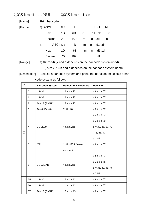### ①GS k m d1…dk NUL ②GS k m n d1..dn

[Name] Print bar code

| [Format] | $\bigcirc$ ASCII |    | GS k m d1dk NUL |   |   |          |    |
|----------|------------------|----|-----------------|---|---|----------|----|
|          | Hex              | 1D | 6B —            |   |   | m d1dk   | 00 |
|          | Decimal 29       |    | 107             |   |   | m d1dk 0 |    |
|          | $\Box$           |    | ASCII GS k      |   |   | m n d1dn |    |
|          | Hex              | 1D | 6B              | m |   | n d1dn   |    |
|          | Decimal          | 29 | 107             | m | n | d1…dn    |    |

[Range]  $\qquad \qquad \textcircled{10}\leqslant m\leqslant 6$  (k and d depends on the bar code system used)

□ 65m ≤73 (n and d depends on the bar code system used)

[Description] Selects a bar code system and prints the bar code. m selects a bar code system as follows:

| m                 |             | <b>Bar Code System</b> | <b>Number of Characters</b> | <b>Remarks</b>        |  |  |
|-------------------|-------------|------------------------|-----------------------------|-----------------------|--|--|
|                   | $\mathbf 0$ | UPC-A                  | $11 \leq k \leq 12$         | $48 \le d \le 57$     |  |  |
|                   | 1           | UPC-E                  | $11 \leq k \leq 12$         | $48 \le d \le 57$     |  |  |
|                   | 2           | JAN13 (EAN13)          | $12 \le k \le 13$           | $48 \le d \le 57$     |  |  |
|                   | 3           | JAN8 (EAN8)            | $7 \leq k \leq 8$           | $48 \le d \le 57$     |  |  |
|                   |             |                        |                             | $45 \le d \le 57$ ,   |  |  |
|                   |             |                        |                             | $65 \le d \le 90$ ,   |  |  |
|                   | 4           | CODE39                 | $1 \leq k \leq 255$         | $d = 32, 36, 37, 43,$ |  |  |
| $\textcircled{1}$ |             |                        |                             | 45, 46, 47            |  |  |
|                   |             |                        |                             | $d = 42$              |  |  |
|                   | 5           | <b>ITF</b>             | 1 ≤ k ≤255 (even            | $48 \le d \le 57$     |  |  |
|                   |             |                        | number)                     |                       |  |  |
|                   |             |                        |                             | $48 \le d \le 57$ ,   |  |  |
|                   | 6           | <b>CODABAR</b>         | $1 \le k \le 255$           | $65 \le d \le 68$ ,   |  |  |
|                   |             |                        |                             | $d = 36, 43, 45, 46,$ |  |  |
|                   |             |                        |                             | 47,58                 |  |  |
|                   | 65          | UPC-A                  | $11 \le n \le 12$           | $48 \le d \le 57$     |  |  |
|                   | 66          | UPC-E                  | $11 \le n \le 12$           | $48 \le d \le 57$     |  |  |
|                   | 67          | JAN13 (EAN13)          | $12 \le n \le 13$           | $48 \le d \le 57$     |  |  |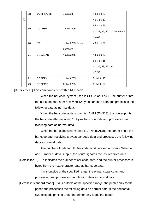|               | 68 | JAN8 (EAN8)    | $7 \le n \le 8$         | $48 \le d \le 57$                |
|---------------|----|----------------|-------------------------|----------------------------------|
| $\circled{2}$ |    |                |                         | $45 \leq d \leq 57$ ,            |
|               |    |                |                         | $65 \leq d \leq 90$ ,            |
|               | 69 | CODE39         | $1 \le n \le 255$       | $d = 32, 36, 37, 43, 45, 46, 47$ |
|               |    |                |                         | $d = 42$                         |
|               | 70 | <b>ITF</b>     | $1 \le n \le 255$ (even | $48 \le d \le 57$                |
|               |    |                | number)                 |                                  |
|               | 71 | <b>CODABAR</b> | $1 \le n \le 255$       | $48 \le d \le 57$ ,              |
|               |    |                |                         | $65 \le d \le 68$ ,              |
|               |    |                |                         | $d = 36, 43, 45, 46,$            |
|               |    |                |                         | 47, 58                           |
|               | 72 | CODE93         | $1 \le n \le 255$       | $0 \le d \le 127$                |
|               | 73 | CODE128        | $2 \leq n \leq 255$     | $0 \le d \le 127$                |

[Details for  $\square$ ] This command ends with a NUL code.

When the bar code system used is UPC-A or UPC-E, the printer prints the bar code data after receiving 12 bytes bar code data and processes the following data as normal data.

When the bar code system used is JAN13 (EAN13), the printer prints the bar code after receiving 13 bytes bar code data and processes the following data as normal data.

When the bar code system used is JAN8 (EAN8), the printer prints the bar code after receiving 8 bytes bar code data and processes the following data as normal data.

The number of data for ITF bar code must be even numbers. When an odd number of data is input, the printer ignores the last received data.

[Details for  $\square$ ] n indicates the number of bar code data, and the printer processes n bytes from the next character data as bar code data.

> If n is outside of the specified range, the printer stops command processing and processes the following data as normal data.

[Details in standard mode] If d is outside of the specified range, the printer only feeds paper and processes the following data as normal data. If the horizontal size exceeds printing area, the printer only feeds the paper.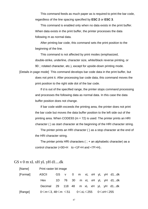This command feeds as much paper as is required to print the bar code, regardless of the line spacing specified by **ESC 2** or **ESC 3**.

This command is enabled only when no data exists in the print buffer. When data exists in the print buffer, the printer processes the data following m as normal data.

After printing bar code, this command sets the print position to the beginning of the line.

This command is not affected by print modes (emphasized, double-strike, underline, character size, white/black reverse printing, or  $90\Box$  rotated character, etc.), except for upside-down printing mode.

[Details in page mode] This command develops bar code data in the print buffer, but does not print it. After processing bar code data, this command moves the print position to the right side dot of the bar code.

> If d is out of the specified range, the printer stops command processing and processes the following data as normal data. In this case the data buffer position does not change.

> If bar code width exceeds the printing area, the printer does not print the bar code but moves the data buffer position to the left side out of the printing area. When CODE93 ( $m = 72$ ) is used: The printer prints an HRI character ( ) as start character at the beginning of the HRI character string.

> The printer prints an HRI character ( ) as a stop character at the end of the HRI character string.

The printer prints HRI characters  $( \Box +$  an alphabetic character) as a control character (<00>H to <1F>H and <7F>H)。

| [Name]   | Print raster bit image               |  |  |  |  |                             |
|----------|--------------------------------------|--|--|--|--|-----------------------------|
| [Format] | ASCII                                |  |  |  |  | GS v 0 m xL xH yL yH d1dk   |
|          | Hex                                  |  |  |  |  | 1D 76 30 m xL xH yL yH d1dk |
|          | Decimal 29 118 48 m xL xH yL yH d1dk |  |  |  |  |                             |
| [Range]  |                                      |  |  |  |  |                             |

### GS v 0 m xL xH yL yH d1....dk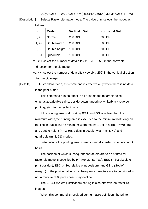$0 \le y L \le 255$   $0 \le d \le 255$  k = (xL+xH $\times$ 256) $\times$ (yL+yH $\times$ 256) (k $>$ 0)

[Description] Selects Raster bit-image mode. The value of m selects the mode, as follows:

| m     | <b>Mode</b>   | <b>Vertical</b><br>Dot | <b>Horizontal Dot</b> |
|-------|---------------|------------------------|-----------------------|
| 0, 48 | Normal        | 200 DPI                | 200 DPI               |
| 1, 49 | Double-width  | 200 DPI                | 100 DPI               |
| 2, 50 | Double-height | 100 DPI                | 200 DPI               |
| 3, 51 | Quadruple     | 100 DPI                | 100 DPI               |

xL, xH, select the number of data bits ( $xL + xH \square$  256) in the horizontal direction for the bit image.

yL, yH, select the number of data bits ( $yL+ yH \square$  256) in the vertical direction for the bit image.

[Details] In standard mode, this command is effective only when there is no data in the print buffer.

> This command has no effect in all print modes (character size, emphasized,double-strike, upside-down, underline, white/black reverse printing, etc.) for raster bit image.

If the printing area width set by **GS L** and **GS W** is less than the minimum width,the printing area is extended to the minimum width only on the line in question.The minimum width means 1 dot in normal (m=0, 48) and double-height (m=2,50), 2 dots in double-width (m=1, 49) and quadruple (m=3, 51) modes.

Data outside the printing area is read in and discarded on a dot-by-dot basis.

The position at which subsequent characters are to be printed for raster bit image is specified by **HT** (Horizontal Tab), **ESC \$** (Set absolute print position), **ESC** \ ( Set relative print position), and **GS L** (Set left margin ). If the position at which subsequent characters are to be printed is not a multiple of 8, print speed may decline.

The **ESC a** (Select justification) setting is also effective on raster bit images.

When this command is received during macro definition, the printer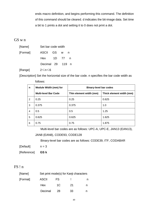ends macro definition, and begins performing this command. The definition of this command should be cleared. d indicates the bit-image data. Set time a bit to 1 prints a dot and setting it to 0 does not print a dot.

### GS w n

| [Name]   | Set bar code width |  |     |    |  |
|----------|--------------------|--|-----|----|--|
| [Format] | ASCII GS w         |  |     | n  |  |
|          | Hex 1D 77          |  |     | n, |  |
|          | Decimal 29         |  | 119 | n, |  |
| [Range]  | 2≤n≤6              |  |     |    |  |

[Description] Set the horizontal size of the bar code. n specifies the bar code width as

|             | follows:                    |                               |                          |  |  |  |
|-------------|-----------------------------|-------------------------------|--------------------------|--|--|--|
| $\mathbf n$ | Module Width (mm) for       | <b>Binary-level bar codes</b> |                          |  |  |  |
|             | <b>Multi-level Bar Code</b> | Thin element width (mm)       | Thick element width (mm) |  |  |  |
| 2           | 0.25                        | 0.25                          | 0.625                    |  |  |  |
| 3           | 0.375                       | 0.375                         | 1.0                      |  |  |  |
| 4           | 0.5                         | 0.5                           | 1.25                     |  |  |  |
| 5           | 0.625                       | 0.625                         | 1.625                    |  |  |  |
| 6           | 0.75                        | 0.75                          | 1.875                    |  |  |  |

Multi-level bar codes are as follows: UPC-A, UPC-E, JAN13 (EAN13),

JAN8 (EAN8), CODE93, CODE128

Binary-level bar codes are as follows: CODE39, ITF, CODABAR

| [Default] | $n = 3$ |
|-----------|---------|
|-----------|---------|

[Reference] **GS k**

### FS ! n

| [Name]   | Set print mode(s) for Kanji characters |     |    |   |  |
|----------|----------------------------------------|-----|----|---|--|
| [Format] | <b>ASCII</b>                           | FS. |    |   |  |
|          | Hex                                    | 1C  | 21 | n |  |
|          | Decimal                                | 28  | 33 |   |  |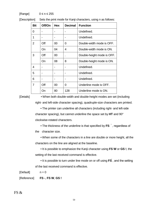$[Range]$   $0 \le n \le 255$ 

| <b>Bit</b>     | Off/On | <b>Hex</b> | <b>Decimal</b> | <b>Function</b>            |
|----------------|--------|------------|----------------|----------------------------|
| 0              |        |            |                | Undefined.                 |
| 1              |        |            |                | Undefined.                 |
| $\overline{2}$ | Off    | 00         | 0              | Double-width mode is OFF.  |
|                | On     | 04         | 4              | Double-width mode is ON.   |
| 3              | Off    | 00         |                | Double-height mode is OFF. |
|                | On     | 08         | 8              | Double-height mode is ON.  |
| 4              |        |            |                | Undefined.                 |
| 5              |        |            |                | Undefined.                 |
| 6              |        |            |                | Undefined.                 |
| 7              | Off    | 00         | 0              | Underline mode is OFF.     |
|                | On     | 80         | 128            | Underline mode is ON.      |

[Description] Sets the print mode for Kanji characters, using n as follows:

[Details] • When both double-width and double-height modes are set (including right- and left-side character spacing), quadruple-size characters are printed.

> • The printer can underline all characters (including right- and left-side character spacing), but cannot underline the space set by **HT** and 90° clockwise-rotated characters.

• The thickness of the underline is that specified by **FS**, regardless of

the character size.

• When some of the characters in a line are double or more height, all the characters on the line are aligned at the baseline.

• It is possible to emphasize the Kanji character using **FS W** or **GS !**, the setting of the last received command is effective.

• It is possible to turn under line mode on or off using **FS** , and the setting of the last received command is effective.

 $[Default]$   $n = 0$ 

[Reference] **FS -**, **FS W**, **GS !**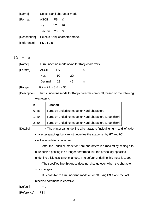| [Name]      | Select Kanji character mode |           |                                             |  |  |
|-------------|-----------------------------|-----------|---------------------------------------------|--|--|
| [Format]    | ASCII                       | <b>FS</b> | &                                           |  |  |
|             | Hex 1C                      |           | 26                                          |  |  |
|             | Decimal 28                  |           | 38                                          |  |  |
|             |                             |           | [Description] Selects Kanji character mode. |  |  |
| [Reference] | $FS.$ , FS C                |           |                                             |  |  |

 $FS - n$ 

| [Name]   | Turn underline mode on/off for Kanji characters |    |                |   |  |
|----------|-------------------------------------------------|----|----------------|---|--|
| [Format] | <b>ASCII</b>                                    | FS | $\blacksquare$ | n |  |
|          | Hex                                             | 1C | 2D             | n |  |
|          | Decimal                                         | 28 | 45             | n |  |
| [Range]  | $0 \le n \le 2$ , $48 \le n \le 50$             |    |                |   |  |

[Description] Turns underline mode for Kanji characters on or off, based on the following values of n.

| n     | <b>Function</b>                                            |
|-------|------------------------------------------------------------|
| 0, 48 | Turns off underline mode for Kanji characters              |
| 1, 49 | Turns on underline mode for Kanji characters (1-dot thick) |
| 2, 50 | Turns on underline mode for Kanji characters (2-dot thick) |

[Details] • The printer can underline all characters (including right- and left-side character spacing), but cannot underline the space set by **HT** and 90° clockwise-rotated characters.

> • After the underline mode for Kanji characters is turned off by setting n to 0, underline printing is no longer performed, but the previously specified underline thickness is not changed. The default underline thickness is 1 dot.

• The specified line thickness does not change even when the character size changes.

• It is possible to turn underline mode on or off using **FS !**, and the last received command is effective.

 $[Default]$   $n = 0$ 

[Reference] **FS !**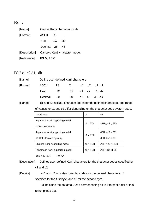FS .

| [Name]                 |              |      | Cancel Kanji character mode                 |
|------------------------|--------------|------|---------------------------------------------|
| [Format]               | <b>ASCII</b> | - FS |                                             |
|                        | Hex 1C 2E    |      |                                             |
|                        | Decimal 28   |      | 46                                          |
|                        |              |      | [Description] Cancels Kanji character mode. |
| [Reference] FS &, FS C |              |      |                                             |

#### FS 2 c1 c2 d1...dk

| [Name]   | Define user-defined Kanji characters |                  |               |  |  |  |  |
|----------|--------------------------------------|------------------|---------------|--|--|--|--|
| [Format] | ASCII FS 2 c1 c2 d1dk                |                  |               |  |  |  |  |
|          | Hex                                  | 1C 32 c1 c2 d1dk |               |  |  |  |  |
|          | Decimal                              | - 28             | 50 c1 c2 d1dk |  |  |  |  |

[Range] c1 and c2 indicate character codes for the defined characters. The range

of values for c1 and c2 differ depending on the character code system used.

| Model type                       | c1         | c2                 |  |
|----------------------------------|------------|--------------------|--|
| Japanese Kanji supporting model  | $c1 = 77H$ | 21H < c2 < 7EH     |  |
| (JIS code system)                |            |                    |  |
| Japanese Kanji supporting model  | $c1 = ECH$ | 40H < c2 < 7EH     |  |
| (SHIFT-JIS code system)          |            | 80H < c2 < 9EH     |  |
| Chinese Kanji supporting model   | $c1 = FEH$ | A1H < c2 < FEH     |  |
| Taiwanese Kanji supporting model | $c1 = FEH$ | A1H $<$ c2 $<$ FEH |  |

 $0 \le d \le 255$  k = 72

[Description] Defines user-defined Kanji characters for the character codes specified by c1 and c2.

[Details] • c1 and c2 indicate character codes for the defined characters. c1 specifies for the first byte, and c2 for the second byte.

> • d indicates the dot data. Set a corresponding bit to 1 to print a dot or to 0 to not print a dot.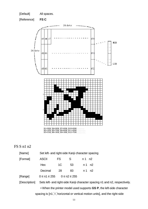

### FS S n1 n2

| [Name]                                                                           | Set left- and right-side Kanji character spacing                           |                    |    |           |         |  |  |  |
|----------------------------------------------------------------------------------|----------------------------------------------------------------------------|--------------------|----|-----------|---------|--|--|--|
| [Format]                                                                         | <b>ASCII</b>                                                               | FS.                | S  | $n1$ $n2$ |         |  |  |  |
|                                                                                  | Hex                                                                        | 1 <sup>C</sup>     | 53 |           | n 1 n 2 |  |  |  |
|                                                                                  | Decimal                                                                    | 28                 | 83 |           | n 1 n 2 |  |  |  |
| [Range]                                                                          | $0 \le n1 \le 255$                                                         | $0 \le n2 \le 255$ |    |           |         |  |  |  |
| [Description]                                                                    | Sets left- and right-side Kanji character spacing n1 and n2, respectively. |                    |    |           |         |  |  |  |
| . When the printer model used supports GS P, the left-side character             |                                                                            |                    |    |           |         |  |  |  |
| spacing is [n1 $\times$ horizontal or vertical motion units], and the right-side |                                                                            |                    |    |           |         |  |  |  |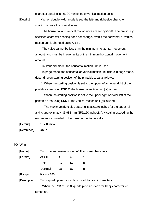character spacing is  $[ n2 \times h$ orizontal or vertical motion units].

[Details] • When double-width mode is set, the left- and right-side character spacing is twice the normal value.

> • The horizontal and vertical motion units are set by **GS P**. The previously specified character spacing does not change, even if the horizontal or vertical motion unit is changed using **GS P**.

• The value cannot be less than the minimum horizontal movement amount, and must be in even units of the minimum horizontal movement amount.

• In standard mode, the horizontal motion unit is used.

• In page mode, the horizontal or vertical motion unit differs in page mode, depending on starting position of the printable area as follows:

 $\Box$  When the starting position is set to the upper left or lower right of the printable area using **ESC T**, the horizontal motion unit ( x) is used.

 $\Box$  When the starting position is set to the upper right or lower left of the printable area using **ESC T**, the vertical motion unit ( y) is used.

 $\Box$  The maximum right-side spacing is 255/180 inches for the paper roll and is approximately 35.983 mm {255/150 inches}. Any setting exceeding the maximum is converted to the maximum automatically.

 $[Default]$   $n1 = 0, n2 = 0$ 

[Reference] **GS P**

#### FS W n

| [Name]        | Turn quadruple-size mode on/off for Kanji characters                  |                                                           |    |   |  |  |  |  |
|---------------|-----------------------------------------------------------------------|-----------------------------------------------------------|----|---|--|--|--|--|
| [Format]      | <b>ASCII</b>                                                          | <b>FS</b>                                                 | W  | n |  |  |  |  |
|               | Hex                                                                   | 1C                                                        | 57 | n |  |  |  |  |
|               | Decimal                                                               | 28                                                        | 87 | n |  |  |  |  |
| [Range]       | $0 \le n \le 255$                                                     |                                                           |    |   |  |  |  |  |
| [Description] |                                                                       | Turns quadruple-size mode on or off for Kanji characters. |    |   |  |  |  |  |
|               | • When the LSB of n is 0, quadruple-size mode for Kanji characters is |                                                           |    |   |  |  |  |  |
| turned off.   |                                                                       |                                                           |    |   |  |  |  |  |